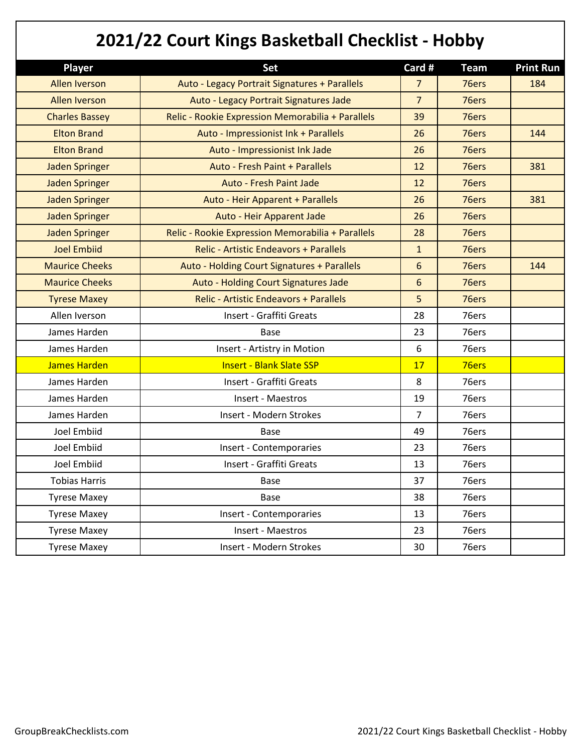| 2021/22 Court Kings Basketball Checklist - Hobby |                                                   |                |             |                  |
|--------------------------------------------------|---------------------------------------------------|----------------|-------------|------------------|
| <b>Player</b>                                    | Set                                               | Card #         | <b>Team</b> | <b>Print Run</b> |
| <b>Allen Iverson</b>                             | Auto - Legacy Portrait Signatures + Parallels     | $\overline{7}$ | 76ers       | 184              |
| <b>Allen Iverson</b>                             | Auto - Legacy Portrait Signatures Jade            | $\overline{7}$ | 76ers       |                  |
| <b>Charles Bassey</b>                            | Relic - Rookie Expression Memorabilia + Parallels | 39             | 76ers       |                  |
| <b>Elton Brand</b>                               | Auto - Impressionist Ink + Parallels              | 26             | 76ers       | 144              |
| <b>Elton Brand</b>                               | Auto - Impressionist Ink Jade                     | 26             | 76ers       |                  |
| <b>Jaden Springer</b>                            | Auto - Fresh Paint + Parallels                    | 12             | 76ers       | 381              |
| <b>Jaden Springer</b>                            | <b>Auto - Fresh Paint Jade</b>                    | 12             | 76ers       |                  |
| <b>Jaden Springer</b>                            | Auto - Heir Apparent + Parallels                  | 26             | 76ers       | 381              |
| <b>Jaden Springer</b>                            | Auto - Heir Apparent Jade                         | 26             | 76ers       |                  |
| <b>Jaden Springer</b>                            | Relic - Rookie Expression Memorabilia + Parallels | 28             | 76ers       |                  |
| <b>Joel Embiid</b>                               | <b>Relic - Artistic Endeavors + Parallels</b>     | $\mathbf{1}$   | 76ers       |                  |
| <b>Maurice Cheeks</b>                            | Auto - Holding Court Signatures + Parallels       | 6              | 76ers       | 144              |
| <b>Maurice Cheeks</b>                            | Auto - Holding Court Signatures Jade              | 6              | 76ers       |                  |
| <b>Tyrese Maxey</b>                              | <b>Relic - Artistic Endeavors + Parallels</b>     | 5              | 76ers       |                  |
| Allen Iverson                                    | Insert - Graffiti Greats                          | 28             | 76ers       |                  |
| James Harden                                     | <b>Base</b>                                       | 23             | 76ers       |                  |
| James Harden                                     | Insert - Artistry in Motion                       | 6              | 76ers       |                  |
| James Harden                                     | <b>Insert - Blank Slate SSP</b>                   | 17             | 76ers       |                  |
| James Harden                                     | Insert - Graffiti Greats                          | 8              | 76ers       |                  |
| James Harden                                     | Insert - Maestros                                 | 19             | 76ers       |                  |
| James Harden                                     | Insert - Modern Strokes                           | 7              | 76ers       |                  |
| Joel Embiid                                      | <b>Base</b>                                       | 49             | 76ers       |                  |
| Joel Embiid                                      | Insert - Contemporaries                           | 23             | 76ers       |                  |
| Joel Embiid                                      | Insert - Graffiti Greats                          | 13             | 76ers       |                  |
| <b>Tobias Harris</b>                             | Base                                              | 37             | 76ers       |                  |
| <b>Tyrese Maxey</b>                              | Base                                              | 38             | 76ers       |                  |
| <b>Tyrese Maxey</b>                              | Insert - Contemporaries                           | 13             | 76ers       |                  |
| <b>Tyrese Maxey</b>                              | Insert - Maestros                                 | 23             | 76ers       |                  |
| <b>Tyrese Maxey</b>                              | Insert - Modern Strokes                           | 30             | 76ers       |                  |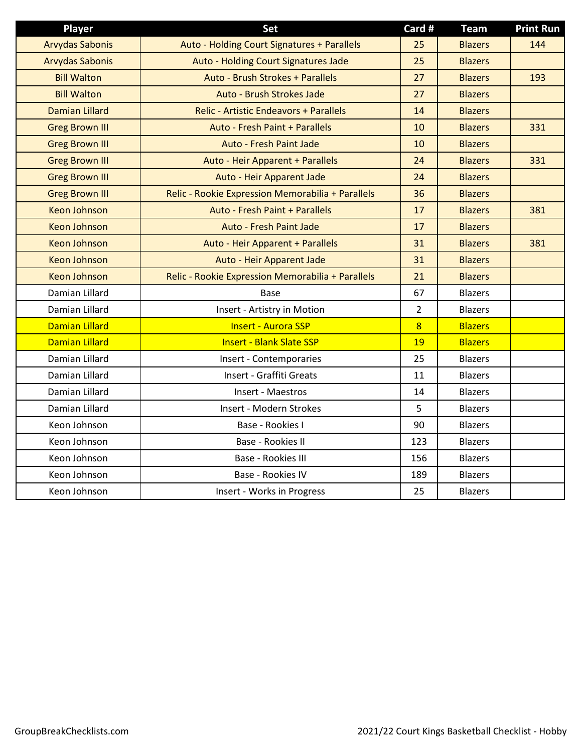| <b>Player</b>          | Set                                               | Card #         | <b>Team</b>    | <b>Print Run</b> |
|------------------------|---------------------------------------------------|----------------|----------------|------------------|
| <b>Arvydas Sabonis</b> | Auto - Holding Court Signatures + Parallels       | 25             | <b>Blazers</b> | 144              |
| <b>Arvydas Sabonis</b> | Auto - Holding Court Signatures Jade              | 25             | <b>Blazers</b> |                  |
| <b>Bill Walton</b>     | Auto - Brush Strokes + Parallels                  | 27             | <b>Blazers</b> | 193              |
| <b>Bill Walton</b>     | Auto - Brush Strokes Jade                         | 27             | <b>Blazers</b> |                  |
| <b>Damian Lillard</b>  | <b>Relic - Artistic Endeavors + Parallels</b>     | 14             | <b>Blazers</b> |                  |
| <b>Greg Brown III</b>  | Auto - Fresh Paint + Parallels                    | 10             | <b>Blazers</b> | 331              |
| <b>Greg Brown III</b>  | <b>Auto - Fresh Paint Jade</b>                    | 10             | <b>Blazers</b> |                  |
| <b>Greg Brown III</b>  | Auto - Heir Apparent + Parallels                  | 24             | <b>Blazers</b> | 331              |
| <b>Greg Brown III</b>  | Auto - Heir Apparent Jade                         | 24             | <b>Blazers</b> |                  |
| <b>Greg Brown III</b>  | Relic - Rookie Expression Memorabilia + Parallels | 36             | <b>Blazers</b> |                  |
| <b>Keon Johnson</b>    | <b>Auto - Fresh Paint + Parallels</b>             | 17             | <b>Blazers</b> | 381              |
| <b>Keon Johnson</b>    | Auto - Fresh Paint Jade                           | 17             | <b>Blazers</b> |                  |
| <b>Keon Johnson</b>    | Auto - Heir Apparent + Parallels                  | 31             | <b>Blazers</b> | 381              |
| <b>Keon Johnson</b>    | Auto - Heir Apparent Jade                         | 31             | <b>Blazers</b> |                  |
| <b>Keon Johnson</b>    | Relic - Rookie Expression Memorabilia + Parallels | 21             | <b>Blazers</b> |                  |
| Damian Lillard         | <b>Base</b>                                       | 67             | <b>Blazers</b> |                  |
| Damian Lillard         | Insert - Artistry in Motion                       | $\overline{2}$ | <b>Blazers</b> |                  |
| <b>Damian Lillard</b>  | <b>Insert - Aurora SSP</b>                        | 8              | <b>Blazers</b> |                  |
| <b>Damian Lillard</b>  | <b>Insert - Blank Slate SSP</b>                   | 19             | <b>Blazers</b> |                  |
| Damian Lillard         | Insert - Contemporaries                           | 25             | <b>Blazers</b> |                  |
| Damian Lillard         | Insert - Graffiti Greats                          | 11             | <b>Blazers</b> |                  |
| Damian Lillard         | Insert - Maestros                                 | 14             | <b>Blazers</b> |                  |
| Damian Lillard         | Insert - Modern Strokes                           | 5              | <b>Blazers</b> |                  |
| Keon Johnson           | Base - Rookies I                                  | 90             | <b>Blazers</b> |                  |
| Keon Johnson           | Base - Rookies II                                 | 123            | <b>Blazers</b> |                  |
| Keon Johnson           | Base - Rookies III                                | 156            | <b>Blazers</b> |                  |
| Keon Johnson           | Base - Rookies IV                                 | 189            | <b>Blazers</b> |                  |
| Keon Johnson           | Insert - Works in Progress                        | 25             | <b>Blazers</b> |                  |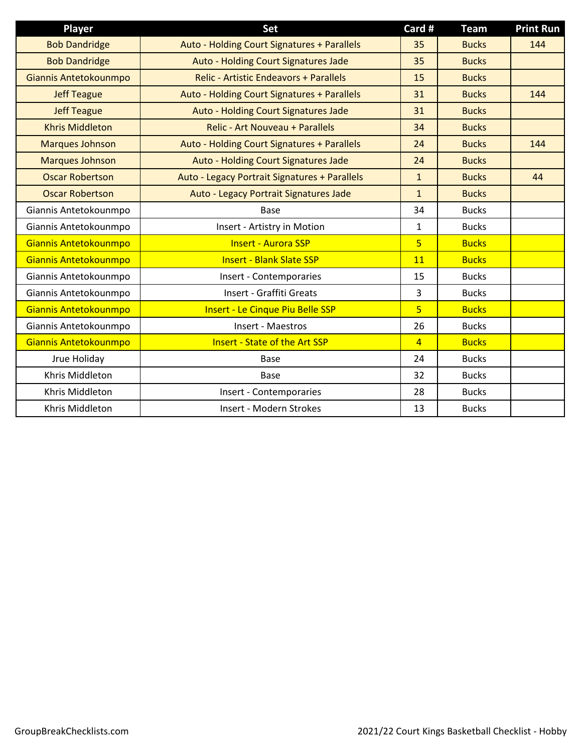| Player                 | <b>Set</b>                                    | Card #         | <b>Team</b>  | <b>Print Run</b> |
|------------------------|-----------------------------------------------|----------------|--------------|------------------|
| <b>Bob Dandridge</b>   | Auto - Holding Court Signatures + Parallels   | 35             | <b>Bucks</b> | 144              |
| <b>Bob Dandridge</b>   | Auto - Holding Court Signatures Jade          | 35             | <b>Bucks</b> |                  |
| Giannis Antetokounmpo  | Relic - Artistic Endeavors + Parallels        | 15             | <b>Bucks</b> |                  |
| <b>Jeff Teague</b>     | Auto - Holding Court Signatures + Parallels   | 31             | <b>Bucks</b> | 144              |
| <b>Jeff Teague</b>     | Auto - Holding Court Signatures Jade          | 31             | <b>Bucks</b> |                  |
| <b>Khris Middleton</b> | Relic - Art Nouveau + Parallels               | 34             | <b>Bucks</b> |                  |
| <b>Marques Johnson</b> | Auto - Holding Court Signatures + Parallels   | 24             | <b>Bucks</b> | 144              |
| <b>Marques Johnson</b> | Auto - Holding Court Signatures Jade          | 24             | <b>Bucks</b> |                  |
| <b>Oscar Robertson</b> | Auto - Legacy Portrait Signatures + Parallels | $\mathbf{1}$   | <b>Bucks</b> | 44               |
| <b>Oscar Robertson</b> | Auto - Legacy Portrait Signatures Jade        | $\mathbf{1}$   | <b>Bucks</b> |                  |
| Giannis Antetokounmpo  | <b>Base</b>                                   | 34             | <b>Bucks</b> |                  |
| Giannis Antetokounmpo  | Insert - Artistry in Motion                   | $\mathbf{1}$   | <b>Bucks</b> |                  |
| Giannis Antetokounmpo  | <b>Insert - Aurora SSP</b>                    | $\overline{5}$ | <b>Bucks</b> |                  |
| Giannis Antetokounmpo  | <b>Insert - Blank Slate SSP</b>               | 11             | <b>Bucks</b> |                  |
| Giannis Antetokounmpo  | Insert - Contemporaries                       | 15             | <b>Bucks</b> |                  |
| Giannis Antetokounmpo  | Insert - Graffiti Greats                      | 3              | <b>Bucks</b> |                  |
| Giannis Antetokounmpo  | <b>Insert - Le Cinque Piu Belle SSP</b>       | $\overline{5}$ | <b>Bucks</b> |                  |
| Giannis Antetokounmpo  | Insert - Maestros                             | 26             | <b>Bucks</b> |                  |
| Giannis Antetokounmpo  | <b>Insert - State of the Art SSP</b>          | $\overline{4}$ | <b>Bucks</b> |                  |
| Jrue Holiday           | <b>Base</b>                                   | 24             | <b>Bucks</b> |                  |
| Khris Middleton        | <b>Base</b>                                   | 32             | <b>Bucks</b> |                  |
| Khris Middleton        | Insert - Contemporaries                       | 28             | <b>Bucks</b> |                  |
| Khris Middleton        | Insert - Modern Strokes                       | 13             | <b>Bucks</b> |                  |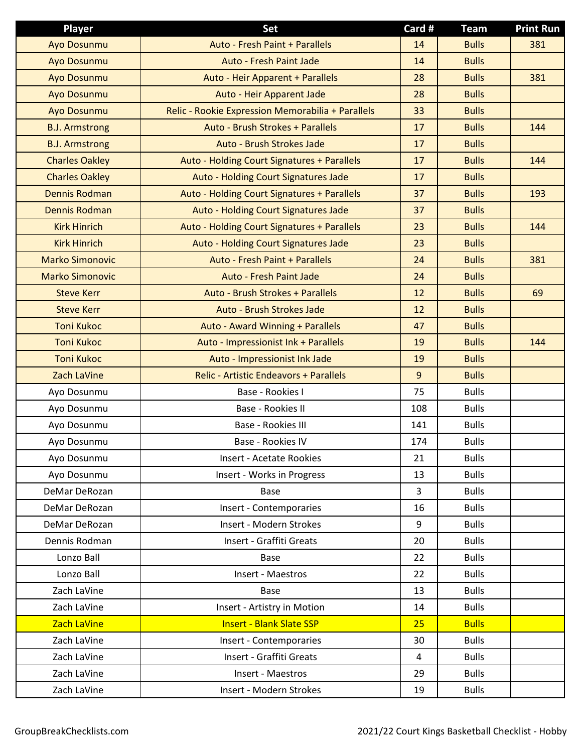| <b>Player</b>          | <b>Set</b>                                        | Card #         | <b>Team</b>  | <b>Print Run</b> |
|------------------------|---------------------------------------------------|----------------|--------------|------------------|
| Ayo Dosunmu            | <b>Auto - Fresh Paint + Parallels</b>             | 14             | <b>Bulls</b> | 381              |
| <b>Ayo Dosunmu</b>     | <b>Auto - Fresh Paint Jade</b>                    | 14             | <b>Bulls</b> |                  |
| <b>Ayo Dosunmu</b>     | Auto - Heir Apparent + Parallels                  | 28             | <b>Bulls</b> | 381              |
| Ayo Dosunmu            | Auto - Heir Apparent Jade                         | 28             | <b>Bulls</b> |                  |
| Ayo Dosunmu            | Relic - Rookie Expression Memorabilia + Parallels | 33             | <b>Bulls</b> |                  |
| <b>B.J. Armstrong</b>  | Auto - Brush Strokes + Parallels                  | 17             | <b>Bulls</b> | 144              |
| <b>B.J. Armstrong</b>  | Auto - Brush Strokes Jade                         | 17             | <b>Bulls</b> |                  |
| <b>Charles Oakley</b>  | Auto - Holding Court Signatures + Parallels       | 17             | <b>Bulls</b> | 144              |
| <b>Charles Oakley</b>  | Auto - Holding Court Signatures Jade              | 17             | <b>Bulls</b> |                  |
| <b>Dennis Rodman</b>   | Auto - Holding Court Signatures + Parallels       | 37             | <b>Bulls</b> | 193              |
| <b>Dennis Rodman</b>   | Auto - Holding Court Signatures Jade              | 37             | <b>Bulls</b> |                  |
| <b>Kirk Hinrich</b>    | Auto - Holding Court Signatures + Parallels       | 23             | <b>Bulls</b> | 144              |
| <b>Kirk Hinrich</b>    | Auto - Holding Court Signatures Jade              | 23             | <b>Bulls</b> |                  |
| <b>Marko Simonovic</b> | Auto - Fresh Paint + Parallels                    | 24             | <b>Bulls</b> | 381              |
| <b>Marko Simonovic</b> | <b>Auto - Fresh Paint Jade</b>                    | 24             | <b>Bulls</b> |                  |
| <b>Steve Kerr</b>      | Auto - Brush Strokes + Parallels                  | 12             | <b>Bulls</b> | 69               |
| <b>Steve Kerr</b>      | Auto - Brush Strokes Jade                         | 12             | <b>Bulls</b> |                  |
| <b>Toni Kukoc</b>      | Auto - Award Winning + Parallels                  | 47             | <b>Bulls</b> |                  |
| <b>Toni Kukoc</b>      | Auto - Impressionist Ink + Parallels              | 19             | <b>Bulls</b> | 144              |
| <b>Toni Kukoc</b>      | Auto - Impressionist Ink Jade                     | 19             | <b>Bulls</b> |                  |
| Zach LaVine            | <b>Relic - Artistic Endeavors + Parallels</b>     | 9              | <b>Bulls</b> |                  |
| Ayo Dosunmu            | Base - Rookies I                                  | 75             | <b>Bulls</b> |                  |
| Ayo Dosunmu            | Base - Rookies II                                 | 108            | <b>Bulls</b> |                  |
| Ayo Dosunmu            | Base - Rookies III                                | 141            | <b>Bulls</b> |                  |
| Ayo Dosunmu            | Base - Rookies IV                                 | 174            | <b>Bulls</b> |                  |
| Ayo Dosunmu            | <b>Insert - Acetate Rookies</b>                   | 21             | <b>Bulls</b> |                  |
| Ayo Dosunmu            | Insert - Works in Progress                        | 13             | <b>Bulls</b> |                  |
| DeMar DeRozan          | <b>Base</b>                                       | 3              | <b>Bulls</b> |                  |
| DeMar DeRozan          | Insert - Contemporaries                           | 16             | <b>Bulls</b> |                  |
| DeMar DeRozan          | Insert - Modern Strokes                           | 9              | <b>Bulls</b> |                  |
| Dennis Rodman          | Insert - Graffiti Greats                          | 20             | <b>Bulls</b> |                  |
| Lonzo Ball             | Base                                              | 22             | <b>Bulls</b> |                  |
| Lonzo Ball             | Insert - Maestros                                 | 22             | <b>Bulls</b> |                  |
| Zach LaVine            | Base                                              | 13             | <b>Bulls</b> |                  |
| Zach LaVine            | Insert - Artistry in Motion                       | 14             | <b>Bulls</b> |                  |
| Zach LaVine            | <b>Insert - Blank Slate SSP</b>                   | 25             | <b>Bulls</b> |                  |
| Zach LaVine            | Insert - Contemporaries                           | 30             | <b>Bulls</b> |                  |
| Zach LaVine            | Insert - Graffiti Greats                          | $\overline{4}$ | <b>Bulls</b> |                  |
| Zach LaVine            | Insert - Maestros                                 | 29             | <b>Bulls</b> |                  |
| Zach LaVine            | Insert - Modern Strokes                           | 19             | <b>Bulls</b> |                  |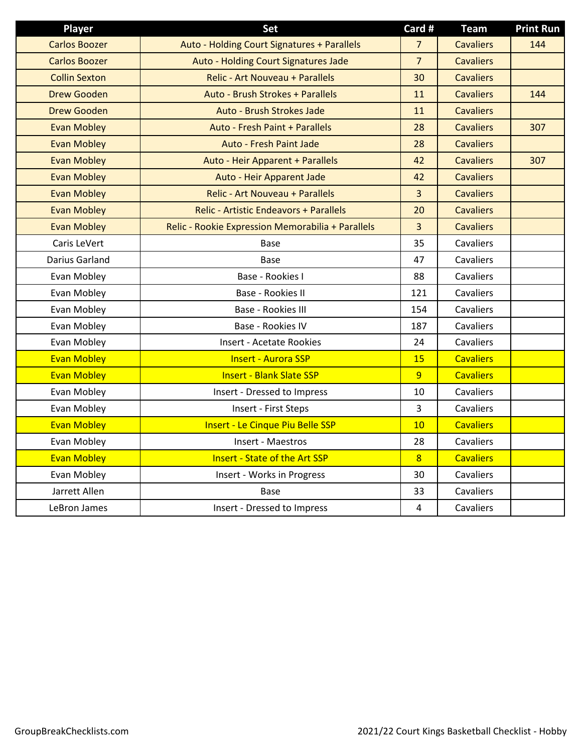| <b>Player</b>        | Set                                               | Card #                  | <b>Team</b>      | <b>Print Run</b> |
|----------------------|---------------------------------------------------|-------------------------|------------------|------------------|
| <b>Carlos Boozer</b> | Auto - Holding Court Signatures + Parallels       | $\overline{7}$          | <b>Cavaliers</b> | 144              |
| <b>Carlos Boozer</b> | Auto - Holding Court Signatures Jade              | $\overline{7}$          | <b>Cavaliers</b> |                  |
| <b>Collin Sexton</b> | Relic - Art Nouveau + Parallels                   | 30                      | <b>Cavaliers</b> |                  |
| <b>Drew Gooden</b>   | Auto - Brush Strokes + Parallels                  | 11                      | <b>Cavaliers</b> | 144              |
| <b>Drew Gooden</b>   | Auto - Brush Strokes Jade                         | 11                      | <b>Cavaliers</b> |                  |
| <b>Evan Mobley</b>   | Auto - Fresh Paint + Parallels                    | 28                      | <b>Cavaliers</b> | 307              |
| <b>Evan Mobley</b>   | <b>Auto - Fresh Paint Jade</b>                    | 28                      | <b>Cavaliers</b> |                  |
| <b>Evan Mobley</b>   | Auto - Heir Apparent + Parallels                  | 42                      | <b>Cavaliers</b> | 307              |
| <b>Evan Mobley</b>   | Auto - Heir Apparent Jade                         | 42                      | <b>Cavaliers</b> |                  |
| <b>Evan Mobley</b>   | <b>Relic - Art Nouveau + Parallels</b>            | 3                       | <b>Cavaliers</b> |                  |
| <b>Evan Mobley</b>   | <b>Relic - Artistic Endeavors + Parallels</b>     | 20                      | <b>Cavaliers</b> |                  |
| <b>Evan Mobley</b>   | Relic - Rookie Expression Memorabilia + Parallels | 3                       | <b>Cavaliers</b> |                  |
| Caris LeVert         | <b>Base</b>                                       | 35                      | Cavaliers        |                  |
| Darius Garland       | Base                                              | 47                      | <b>Cavaliers</b> |                  |
| Evan Mobley          | Base - Rookies I                                  | 88                      | Cavaliers        |                  |
| Evan Mobley          | Base - Rookies II                                 | 121                     | <b>Cavaliers</b> |                  |
| Evan Mobley          | Base - Rookies III                                | 154                     | Cavaliers        |                  |
| Evan Mobley          | Base - Rookies IV                                 | 187                     | Cavaliers        |                  |
| Evan Mobley          | <b>Insert - Acetate Rookies</b>                   | 24                      | Cavaliers        |                  |
| <b>Evan Mobley</b>   | <b>Insert - Aurora SSP</b>                        | 15                      | <b>Cavaliers</b> |                  |
| <b>Evan Mobley</b>   | <b>Insert - Blank Slate SSP</b>                   | 9                       | <b>Cavaliers</b> |                  |
| Evan Mobley          | Insert - Dressed to Impress                       | 10                      | Cavaliers        |                  |
| Evan Mobley          | Insert - First Steps                              | 3                       | Cavaliers        |                  |
| <b>Evan Mobley</b>   | <b>Insert - Le Cinque Piu Belle SSP</b>           | 10                      | <b>Cavaliers</b> |                  |
| Evan Mobley          | Insert - Maestros                                 | 28                      | Cavaliers        |                  |
| <b>Evan Mobley</b>   | <b>Insert - State of the Art SSP</b>              | 8                       | <b>Cavaliers</b> |                  |
| Evan Mobley          | Insert - Works in Progress                        | 30                      | Cavaliers        |                  |
| Jarrett Allen        | Base                                              | 33                      | Cavaliers        |                  |
| LeBron James         | Insert - Dressed to Impress                       | $\overline{\mathbf{4}}$ | Cavaliers        |                  |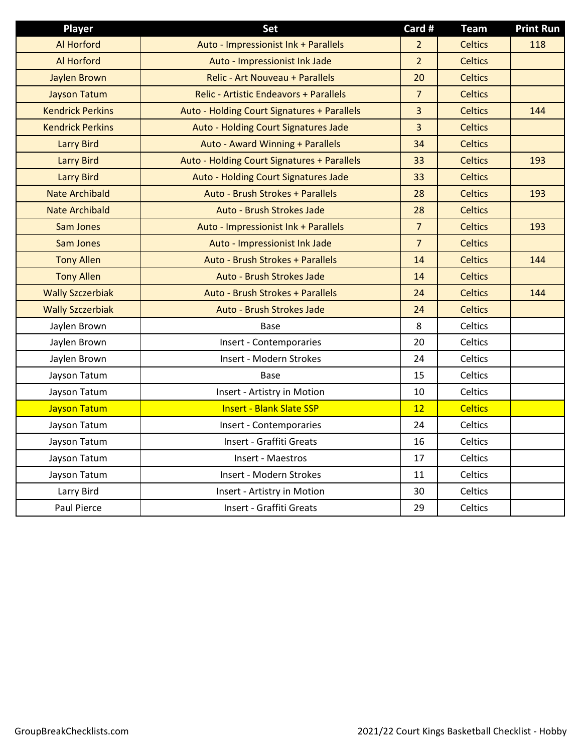| <b>Player</b>           | <b>Set</b>                                    | Card #         | <b>Team</b>    | <b>Print Run</b> |
|-------------------------|-----------------------------------------------|----------------|----------------|------------------|
| <b>Al Horford</b>       | Auto - Impressionist Ink + Parallels          | $\overline{2}$ | <b>Celtics</b> | 118              |
| <b>Al Horford</b>       | Auto - Impressionist Ink Jade                 | $\overline{2}$ | <b>Celtics</b> |                  |
| <b>Jaylen Brown</b>     | Relic - Art Nouveau + Parallels               | 20             | <b>Celtics</b> |                  |
| <b>Jayson Tatum</b>     | <b>Relic - Artistic Endeavors + Parallels</b> | $\overline{7}$ | <b>Celtics</b> |                  |
| <b>Kendrick Perkins</b> | Auto - Holding Court Signatures + Parallels   | $\overline{3}$ | <b>Celtics</b> | 144              |
| <b>Kendrick Perkins</b> | Auto - Holding Court Signatures Jade          | 3              | <b>Celtics</b> |                  |
| <b>Larry Bird</b>       | Auto - Award Winning + Parallels              | 34             | <b>Celtics</b> |                  |
| <b>Larry Bird</b>       | Auto - Holding Court Signatures + Parallels   | 33             | <b>Celtics</b> | 193              |
| <b>Larry Bird</b>       | Auto - Holding Court Signatures Jade          | 33             | <b>Celtics</b> |                  |
| <b>Nate Archibald</b>   | Auto - Brush Strokes + Parallels              | 28             | <b>Celtics</b> | 193              |
| <b>Nate Archibald</b>   | Auto - Brush Strokes Jade                     | 28             | <b>Celtics</b> |                  |
| <b>Sam Jones</b>        | Auto - Impressionist Ink + Parallels          | $\overline{7}$ | <b>Celtics</b> | 193              |
| Sam Jones               | Auto - Impressionist Ink Jade                 | $\overline{7}$ | <b>Celtics</b> |                  |
| <b>Tony Allen</b>       | Auto - Brush Strokes + Parallels              | 14             | <b>Celtics</b> | 144              |
| <b>Tony Allen</b>       | Auto - Brush Strokes Jade                     | 14             | <b>Celtics</b> |                  |
| <b>Wally Szczerbiak</b> | Auto - Brush Strokes + Parallels              | 24             | <b>Celtics</b> | 144              |
| <b>Wally Szczerbiak</b> | Auto - Brush Strokes Jade                     | 24             | <b>Celtics</b> |                  |
| Jaylen Brown            | <b>Base</b>                                   | 8              | Celtics        |                  |
| Jaylen Brown            | Insert - Contemporaries                       | 20             | Celtics        |                  |
| Jaylen Brown            | Insert - Modern Strokes                       | 24             | Celtics        |                  |
| Jayson Tatum            | <b>Base</b>                                   | 15             | Celtics        |                  |
| Jayson Tatum            | Insert - Artistry in Motion                   | 10             | Celtics        |                  |
| <b>Jayson Tatum</b>     | <b>Insert - Blank Slate SSP</b>               | 12             | <b>Celtics</b> |                  |
| Jayson Tatum            | Insert - Contemporaries                       | 24             | Celtics        |                  |
| Jayson Tatum            | Insert - Graffiti Greats                      | 16             | Celtics        |                  |
| Jayson Tatum            | Insert - Maestros                             | 17             | Celtics        |                  |
| Jayson Tatum            | Insert - Modern Strokes                       | 11             | Celtics        |                  |
| Larry Bird              | Insert - Artistry in Motion                   | 30             | Celtics        |                  |
| <b>Paul Pierce</b>      | Insert - Graffiti Greats                      | 29             | Celtics        |                  |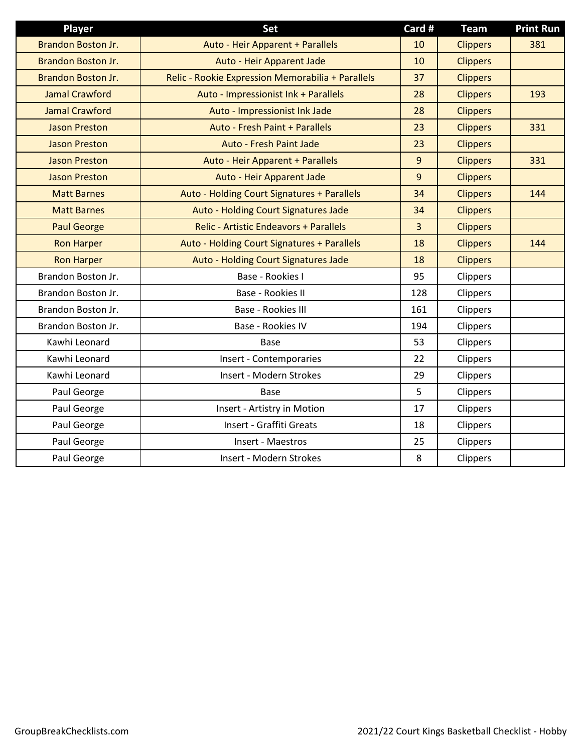| Player                    | Set                                               | Card #         | <b>Team</b>     | <b>Print Run</b> |
|---------------------------|---------------------------------------------------|----------------|-----------------|------------------|
| Brandon Boston Jr.        | Auto - Heir Apparent + Parallels                  | 10             | <b>Clippers</b> | 381              |
| <b>Brandon Boston Jr.</b> | Auto - Heir Apparent Jade                         | 10             | <b>Clippers</b> |                  |
| Brandon Boston Jr.        | Relic - Rookie Expression Memorabilia + Parallels | 37             | <b>Clippers</b> |                  |
| <b>Jamal Crawford</b>     | Auto - Impressionist Ink + Parallels              | 28             | <b>Clippers</b> | 193              |
| <b>Jamal Crawford</b>     | Auto - Impressionist Ink Jade                     | 28             | <b>Clippers</b> |                  |
| <b>Jason Preston</b>      | Auto - Fresh Paint + Parallels                    | 23             | <b>Clippers</b> | 331              |
| <b>Jason Preston</b>      | <b>Auto - Fresh Paint Jade</b>                    | 23             | <b>Clippers</b> |                  |
| <b>Jason Preston</b>      | Auto - Heir Apparent + Parallels                  | 9              | <b>Clippers</b> | 331              |
| <b>Jason Preston</b>      | Auto - Heir Apparent Jade                         | 9              | <b>Clippers</b> |                  |
| <b>Matt Barnes</b>        | Auto - Holding Court Signatures + Parallels       | 34             | <b>Clippers</b> | 144              |
| <b>Matt Barnes</b>        | Auto - Holding Court Signatures Jade              | 34             | <b>Clippers</b> |                  |
| <b>Paul George</b>        | <b>Relic - Artistic Endeavors + Parallels</b>     | $\overline{3}$ | <b>Clippers</b> |                  |
| <b>Ron Harper</b>         | Auto - Holding Court Signatures + Parallels       | 18             | <b>Clippers</b> | 144              |
| <b>Ron Harper</b>         | Auto - Holding Court Signatures Jade              | 18             | <b>Clippers</b> |                  |
| Brandon Boston Jr.        | Base - Rookies I                                  | 95             | Clippers        |                  |
| Brandon Boston Jr.        | Base - Rookies II                                 | 128            | Clippers        |                  |
| Brandon Boston Jr.        | Base - Rookies III                                | 161            | Clippers        |                  |
| Brandon Boston Jr.        | Base - Rookies IV                                 | 194            | Clippers        |                  |
| Kawhi Leonard             | Base                                              | 53             | Clippers        |                  |
| Kawhi Leonard             | Insert - Contemporaries                           | 22             | Clippers        |                  |
| Kawhi Leonard             | Insert - Modern Strokes                           | 29             | Clippers        |                  |
| Paul George               | Base                                              | 5              | Clippers        |                  |
| Paul George               | Insert - Artistry in Motion                       | 17             | Clippers        |                  |
| Paul George               | Insert - Graffiti Greats                          | 18             | Clippers        |                  |
| Paul George               | Insert - Maestros                                 | 25             | Clippers        |                  |
| Paul George               | Insert - Modern Strokes                           | 8              | Clippers        |                  |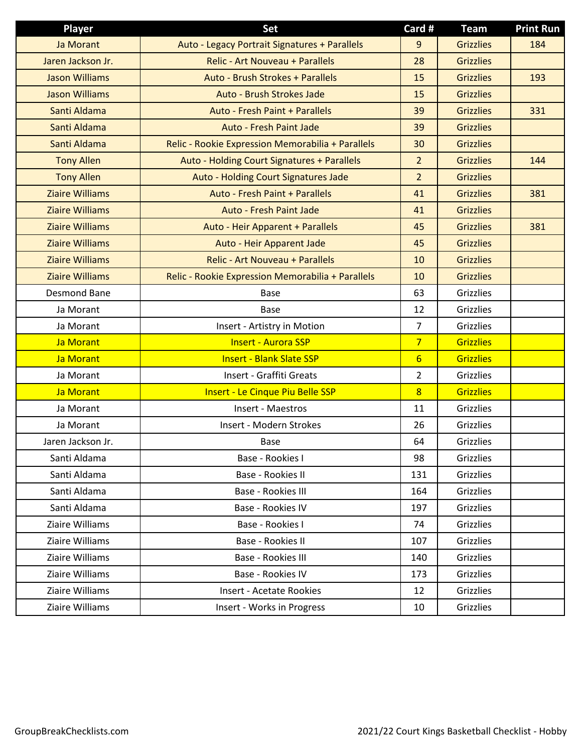| Player                 | Set                                               | Card #          | <b>Team</b>      | <b>Print Run</b> |
|------------------------|---------------------------------------------------|-----------------|------------------|------------------|
| Ja Morant              | Auto - Legacy Portrait Signatures + Parallels     | 9               | <b>Grizzlies</b> | 184              |
| Jaren Jackson Jr.      | <b>Relic - Art Nouveau + Parallels</b>            | 28              | <b>Grizzlies</b> |                  |
| <b>Jason Williams</b>  | Auto - Brush Strokes + Parallels                  | 15              | <b>Grizzlies</b> | 193              |
| <b>Jason Williams</b>  | Auto - Brush Strokes Jade                         | 15              | <b>Grizzlies</b> |                  |
| Santi Aldama           | <b>Auto - Fresh Paint + Parallels</b>             | 39              | <b>Grizzlies</b> | 331              |
| Santi Aldama           | Auto - Fresh Paint Jade                           | 39              | <b>Grizzlies</b> |                  |
| Santi Aldama           | Relic - Rookie Expression Memorabilia + Parallels | 30              | <b>Grizzlies</b> |                  |
| <b>Tony Allen</b>      | Auto - Holding Court Signatures + Parallels       | $\overline{2}$  | <b>Grizzlies</b> | 144              |
| <b>Tony Allen</b>      | Auto - Holding Court Signatures Jade              | 2 <sup>1</sup>  | <b>Grizzlies</b> |                  |
| <b>Ziaire Williams</b> | Auto - Fresh Paint + Parallels                    | 41              | <b>Grizzlies</b> | 381              |
| <b>Ziaire Williams</b> | <b>Auto - Fresh Paint Jade</b>                    | 41              | <b>Grizzlies</b> |                  |
| <b>Ziaire Williams</b> | Auto - Heir Apparent + Parallels                  | 45              | <b>Grizzlies</b> | 381              |
| <b>Ziaire Williams</b> | Auto - Heir Apparent Jade                         | 45              | <b>Grizzlies</b> |                  |
| <b>Ziaire Williams</b> | Relic - Art Nouveau + Parallels                   | 10              | <b>Grizzlies</b> |                  |
| <b>Ziaire Williams</b> | Relic - Rookie Expression Memorabilia + Parallels | 10              | <b>Grizzlies</b> |                  |
| <b>Desmond Bane</b>    | <b>Base</b>                                       | 63              | <b>Grizzlies</b> |                  |
| Ja Morant              | <b>Base</b>                                       | 12              | Grizzlies        |                  |
| Ja Morant              | Insert - Artistry in Motion                       | $\overline{7}$  | Grizzlies        |                  |
| Ja Morant              | <b>Insert - Aurora SSP</b>                        | $\overline{7}$  | <b>Grizzlies</b> |                  |
| Ja Morant              | <b>Insert - Blank Slate SSP</b>                   | $6\overline{6}$ | <b>Grizzlies</b> |                  |
| Ja Morant              | Insert - Graffiti Greats                          | $\overline{2}$  | <b>Grizzlies</b> |                  |
| Ja Morant              | <b>Insert - Le Cinque Piu Belle SSP</b>           | $\overline{8}$  | <b>Grizzlies</b> |                  |
| Ja Morant              | Insert - Maestros                                 | 11              | Grizzlies        |                  |
| Ja Morant              | Insert - Modern Strokes                           | 26              | Grizzlies        |                  |
| Jaren Jackson Jr.      | <b>Base</b>                                       | 64              | Grizzlies        |                  |
| Santi Aldama           | Base - Rookies I                                  | 98              | Grizzlies        |                  |
| Santi Aldama           | Base - Rookies II                                 | 131             | Grizzlies        |                  |
| Santi Aldama           | Base - Rookies III                                | 164             | Grizzlies        |                  |
| Santi Aldama           | Base - Rookies IV                                 | 197             | <b>Grizzlies</b> |                  |
| Ziaire Williams        | Base - Rookies I                                  | 74              | Grizzlies        |                  |
| Ziaire Williams        | Base - Rookies II                                 | 107             | Grizzlies        |                  |
| Ziaire Williams        | Base - Rookies III                                | 140             | Grizzlies        |                  |
| Ziaire Williams        | Base - Rookies IV                                 | 173             | Grizzlies        |                  |
| Ziaire Williams        | <b>Insert - Acetate Rookies</b>                   | 12              | Grizzlies        |                  |
| Ziaire Williams        | Insert - Works in Progress                        | 10              | Grizzlies        |                  |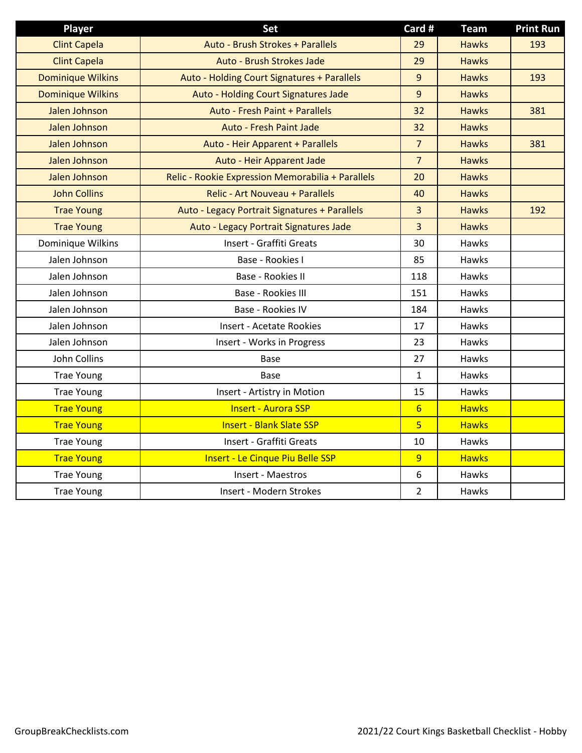| Player                   | <b>Set</b>                                        | Card #          | <b>Team</b>  | <b>Print Run</b> |
|--------------------------|---------------------------------------------------|-----------------|--------------|------------------|
| <b>Clint Capela</b>      | Auto - Brush Strokes + Parallels                  | 29              | <b>Hawks</b> | 193              |
| <b>Clint Capela</b>      | Auto - Brush Strokes Jade                         | 29              | <b>Hawks</b> |                  |
| <b>Dominique Wilkins</b> | Auto - Holding Court Signatures + Parallels       | 9               | <b>Hawks</b> | 193              |
| <b>Dominique Wilkins</b> | Auto - Holding Court Signatures Jade              | 9               | <b>Hawks</b> |                  |
| Jalen Johnson            | Auto - Fresh Paint + Parallels                    | 32              | <b>Hawks</b> | 381              |
| Jalen Johnson            | <b>Auto - Fresh Paint Jade</b>                    | 32              | <b>Hawks</b> |                  |
| Jalen Johnson            | Auto - Heir Apparent + Parallels                  | $\overline{7}$  | <b>Hawks</b> | 381              |
| Jalen Johnson            | Auto - Heir Apparent Jade                         | $\overline{7}$  | <b>Hawks</b> |                  |
| Jalen Johnson            | Relic - Rookie Expression Memorabilia + Parallels | 20              | <b>Hawks</b> |                  |
| <b>John Collins</b>      | <b>Relic - Art Nouveau + Parallels</b>            | 40              | <b>Hawks</b> |                  |
| <b>Trae Young</b>        | Auto - Legacy Portrait Signatures + Parallels     | $\overline{3}$  | <b>Hawks</b> | 192              |
| <b>Trae Young</b>        | Auto - Legacy Portrait Signatures Jade            | 3               | <b>Hawks</b> |                  |
| Dominique Wilkins        | Insert - Graffiti Greats                          | 30              | <b>Hawks</b> |                  |
| Jalen Johnson            | Base - Rookies I                                  | 85              | <b>Hawks</b> |                  |
| Jalen Johnson            | Base - Rookies II                                 | 118             | <b>Hawks</b> |                  |
| Jalen Johnson            | Base - Rookies III                                | 151             | Hawks        |                  |
| Jalen Johnson            | Base - Rookies IV                                 | 184             | Hawks        |                  |
| Jalen Johnson            | <b>Insert - Acetate Rookies</b>                   | 17              | Hawks        |                  |
| Jalen Johnson            | Insert - Works in Progress                        | 23              | Hawks        |                  |
| John Collins             | Base                                              | 27              | Hawks        |                  |
| <b>Trae Young</b>        | <b>Base</b>                                       | $\mathbf{1}$    | Hawks        |                  |
| <b>Trae Young</b>        | Insert - Artistry in Motion                       | 15              | Hawks        |                  |
| <b>Trae Young</b>        | <b>Insert - Aurora SSP</b>                        | $6 \overline{}$ | <b>Hawks</b> |                  |
| <b>Trae Young</b>        | <b>Insert - Blank Slate SSP</b>                   | $\overline{5}$  | <b>Hawks</b> |                  |
| <b>Trae Young</b>        | Insert - Graffiti Greats                          | 10              | Hawks        |                  |
| <b>Trae Young</b>        | <b>Insert - Le Cinque Piu Belle SSP</b>           | $\overline{9}$  | <b>Hawks</b> |                  |
| <b>Trae Young</b>        | Insert - Maestros                                 | 6               | Hawks        |                  |
| <b>Trae Young</b>        | Insert - Modern Strokes                           | $\overline{2}$  | Hawks        |                  |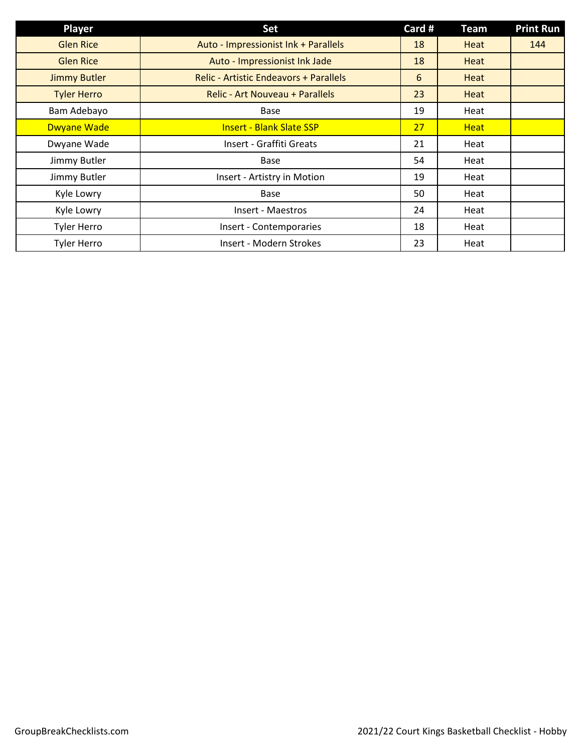| <b>Player</b>       | Set                                           | Card # | <b>Team</b> | <b>Print Run</b> |
|---------------------|-----------------------------------------------|--------|-------------|------------------|
| <b>Glen Rice</b>    | Auto - Impressionist Ink + Parallels          | 18     | Heat        | 144              |
| <b>Glen Rice</b>    | Auto - Impressionist Ink Jade                 | 18     | Heat        |                  |
| <b>Jimmy Butler</b> | <b>Relic - Artistic Endeavors + Parallels</b> | 6      | Heat        |                  |
| <b>Tyler Herro</b>  | Relic - Art Nouveau + Parallels               | 23     | Heat        |                  |
| Bam Adebayo         | Base                                          | 19     | Heat        |                  |
| <b>Dwyane Wade</b>  | <b>Insert - Blank Slate SSP</b>               | 27     | <b>Heat</b> |                  |
| Dwyane Wade         | Insert - Graffiti Greats                      | 21     | Heat        |                  |
| Jimmy Butler        | <b>Base</b>                                   | 54     | Heat        |                  |
| Jimmy Butler        | Insert - Artistry in Motion                   | 19     | Heat        |                  |
| Kyle Lowry          | Base                                          | 50     | Heat        |                  |
| Kyle Lowry          | Insert - Maestros                             | 24     | Heat        |                  |
| <b>Tyler Herro</b>  | Insert - Contemporaries                       | 18     | Heat        |                  |
| <b>Tyler Herro</b>  | Insert - Modern Strokes                       | 23     | Heat        |                  |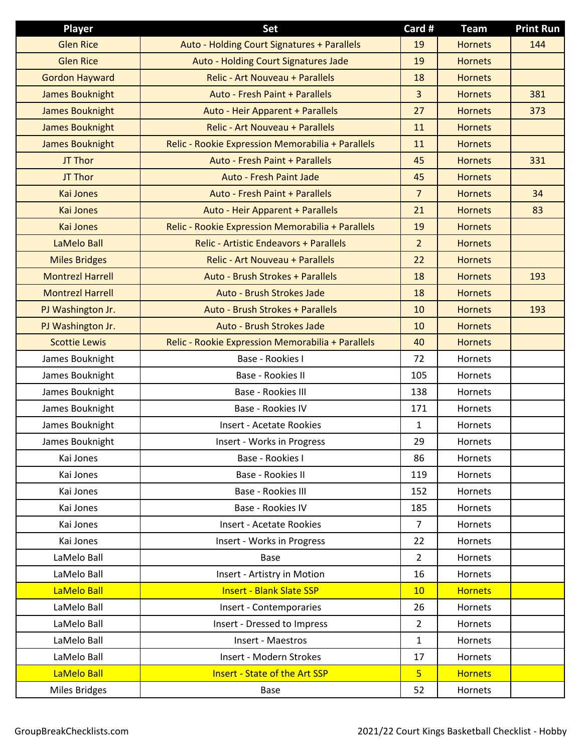| <b>Player</b>           | Set                                               | Card #         | <b>Team</b>    | <b>Print Run</b> |
|-------------------------|---------------------------------------------------|----------------|----------------|------------------|
| <b>Glen Rice</b>        | Auto - Holding Court Signatures + Parallels       | 19             | <b>Hornets</b> | 144              |
| <b>Glen Rice</b>        | Auto - Holding Court Signatures Jade              | 19             | <b>Hornets</b> |                  |
| <b>Gordon Hayward</b>   | <b>Relic - Art Nouveau + Parallels</b>            | 18             | <b>Hornets</b> |                  |
| <b>James Bouknight</b>  | Auto - Fresh Paint + Parallels                    | 3              | <b>Hornets</b> | 381              |
| <b>James Bouknight</b>  | Auto - Heir Apparent + Parallels                  | 27             | <b>Hornets</b> | 373              |
| <b>James Bouknight</b>  | <b>Relic - Art Nouveau + Parallels</b>            | 11             | <b>Hornets</b> |                  |
| <b>James Bouknight</b>  | Relic - Rookie Expression Memorabilia + Parallels | 11             | <b>Hornets</b> |                  |
| JT Thor                 | Auto - Fresh Paint + Parallels                    | 45             | <b>Hornets</b> | 331              |
| JT Thor                 | <b>Auto - Fresh Paint Jade</b>                    | 45             | <b>Hornets</b> |                  |
| <b>Kai Jones</b>        | Auto - Fresh Paint + Parallels                    | $\overline{7}$ | <b>Hornets</b> | 34               |
| <b>Kai Jones</b>        | Auto - Heir Apparent + Parallels                  | 21             | <b>Hornets</b> | 83               |
| <b>Kai Jones</b>        | Relic - Rookie Expression Memorabilia + Parallels | 19             | <b>Hornets</b> |                  |
| LaMelo Ball             | <b>Relic - Artistic Endeavors + Parallels</b>     | $\overline{2}$ | <b>Hornets</b> |                  |
| <b>Miles Bridges</b>    | <b>Relic - Art Nouveau + Parallels</b>            | 22             | <b>Hornets</b> |                  |
| <b>Montrezl Harrell</b> | Auto - Brush Strokes + Parallels                  | 18             | <b>Hornets</b> | 193              |
| <b>Montrezl Harrell</b> | Auto - Brush Strokes Jade                         | 18             | <b>Hornets</b> |                  |
| PJ Washington Jr.       | Auto - Brush Strokes + Parallels                  | 10             | <b>Hornets</b> | 193              |
| PJ Washington Jr.       | Auto - Brush Strokes Jade                         | 10             | <b>Hornets</b> |                  |
| <b>Scottie Lewis</b>    | Relic - Rookie Expression Memorabilia + Parallels | 40             | <b>Hornets</b> |                  |
| James Bouknight         | Base - Rookies I                                  | 72             | Hornets        |                  |
| James Bouknight         | Base - Rookies II                                 | 105            | Hornets        |                  |
| James Bouknight         | Base - Rookies III                                | 138            | Hornets        |                  |
| James Bouknight         | Base - Rookies IV                                 | 171            | Hornets        |                  |
| James Bouknight         | <b>Insert - Acetate Rookies</b>                   | $\mathbf{1}$   | Hornets        |                  |
| James Bouknight         | Insert - Works in Progress                        | 29             | Hornets        |                  |
| Kai Jones               | Base - Rookies I                                  | 86             | Hornets        |                  |
| Kai Jones               | Base - Rookies II                                 | 119            | Hornets        |                  |
| Kai Jones               | Base - Rookies III                                | 152            | Hornets        |                  |
| Kai Jones               | Base - Rookies IV                                 | 185            | Hornets        |                  |
| Kai Jones               | <b>Insert - Acetate Rookies</b>                   | $\overline{7}$ | Hornets        |                  |
| Kai Jones               | Insert - Works in Progress                        | 22             | Hornets        |                  |
| LaMelo Ball             | Base                                              | $\overline{2}$ | Hornets        |                  |
| LaMelo Ball             | Insert - Artistry in Motion                       | 16             | Hornets        |                  |
| LaMelo Ball             | <b>Insert - Blank Slate SSP</b>                   | 10             | <b>Hornets</b> |                  |
| LaMelo Ball             | Insert - Contemporaries                           | 26             | Hornets        |                  |
| LaMelo Ball             | Insert - Dressed to Impress                       | $\overline{2}$ | Hornets        |                  |
| LaMelo Ball             | Insert - Maestros                                 | $\mathbf{1}$   | Hornets        |                  |
| LaMelo Ball             | Insert - Modern Strokes                           | 17             | Hornets        |                  |
| LaMelo Ball             | <b>Insert - State of the Art SSP</b>              | 5 <sup>2</sup> | <b>Hornets</b> |                  |
| Miles Bridges           | Base                                              | 52             | Hornets        |                  |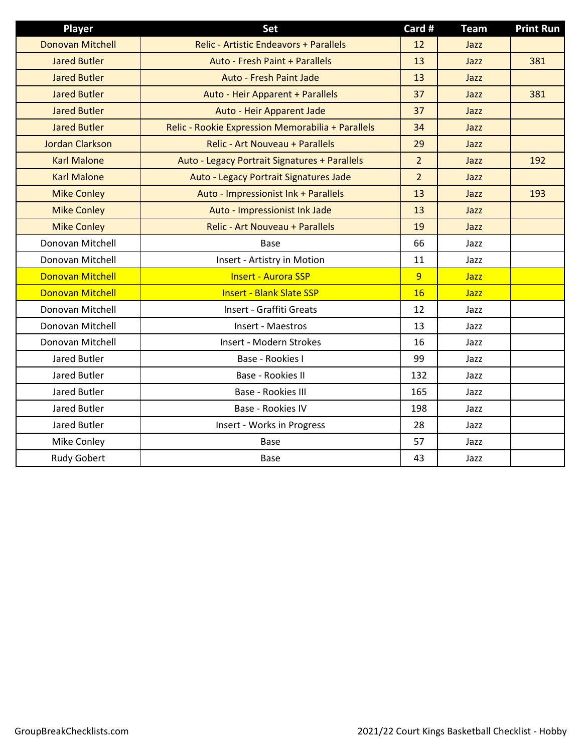| Player                  | Set                                               | Card #         | <b>Team</b> | <b>Print Run</b> |
|-------------------------|---------------------------------------------------|----------------|-------------|------------------|
| <b>Donovan Mitchell</b> | <b>Relic - Artistic Endeavors + Parallels</b>     | 12             | Jazz        |                  |
| <b>Jared Butler</b>     | Auto - Fresh Paint + Parallels                    | 13             | Jazz        | 381              |
| <b>Jared Butler</b>     | <b>Auto - Fresh Paint Jade</b>                    | 13             | Jazz        |                  |
| <b>Jared Butler</b>     | Auto - Heir Apparent + Parallels                  | 37             | Jazz        | 381              |
| <b>Jared Butler</b>     | Auto - Heir Apparent Jade                         | 37             | Jazz        |                  |
| <b>Jared Butler</b>     | Relic - Rookie Expression Memorabilia + Parallels | 34             | Jazz        |                  |
| <b>Jordan Clarkson</b>  | <b>Relic - Art Nouveau + Parallels</b>            | 29             | Jazz        |                  |
| <b>Karl Malone</b>      | Auto - Legacy Portrait Signatures + Parallels     | $\overline{2}$ | Jazz        | 192              |
| <b>Karl Malone</b>      | Auto - Legacy Portrait Signatures Jade            | $\overline{2}$ | Jazz        |                  |
| <b>Mike Conley</b>      | Auto - Impressionist Ink + Parallels              | 13             | Jazz        | 193              |
| <b>Mike Conley</b>      | Auto - Impressionist Ink Jade                     | 13             | Jazz        |                  |
| <b>Mike Conley</b>      | Relic - Art Nouveau + Parallels                   | 19             | Jazz        |                  |
| Donovan Mitchell        | <b>Base</b>                                       | 66             | Jazz        |                  |
| Donovan Mitchell        | Insert - Artistry in Motion                       | 11             | Jazz        |                  |
| <b>Donovan Mitchell</b> | <b>Insert - Aurora SSP</b>                        | $\overline{9}$ | Jazz        |                  |
| <b>Donovan Mitchell</b> | <b>Insert - Blank Slate SSP</b>                   | 16             | <b>Jazz</b> |                  |
| Donovan Mitchell        | Insert - Graffiti Greats                          | 12             | Jazz        |                  |
| Donovan Mitchell        | Insert - Maestros                                 | 13             | Jazz        |                  |
| Donovan Mitchell        | Insert - Modern Strokes                           | 16             | Jazz        |                  |
| Jared Butler            | Base - Rookies I                                  | 99             | Jazz        |                  |
| Jared Butler            | Base - Rookies II                                 | 132            | Jazz        |                  |
| Jared Butler            | Base - Rookies III                                | 165            | Jazz        |                  |
| Jared Butler            | Base - Rookies IV                                 | 198            | Jazz        |                  |
| Jared Butler            | Insert - Works in Progress                        | 28             | Jazz        |                  |
| Mike Conley             | <b>Base</b>                                       | 57             | Jazz        |                  |
| <b>Rudy Gobert</b>      | Base                                              | 43             | Jazz        |                  |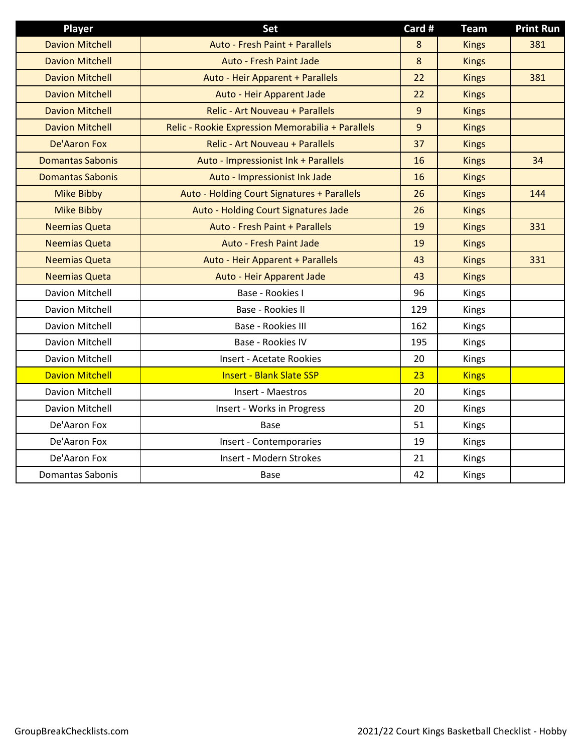| <b>Player</b>           | <b>Set</b>                                        | Card # | <b>Team</b>  | <b>Print Run</b> |
|-------------------------|---------------------------------------------------|--------|--------------|------------------|
| <b>Davion Mitchell</b>  | Auto - Fresh Paint + Parallels                    | 8      | <b>Kings</b> | 381              |
| <b>Davion Mitchell</b>  | <b>Auto - Fresh Paint Jade</b>                    | 8      | <b>Kings</b> |                  |
| <b>Davion Mitchell</b>  | Auto - Heir Apparent + Parallels                  | 22     | <b>Kings</b> | 381              |
| <b>Davion Mitchell</b>  | Auto - Heir Apparent Jade                         | 22     | <b>Kings</b> |                  |
| <b>Davion Mitchell</b>  | Relic - Art Nouveau + Parallels                   | 9      | <b>Kings</b> |                  |
| <b>Davion Mitchell</b>  | Relic - Rookie Expression Memorabilia + Parallels | 9      | <b>Kings</b> |                  |
| <b>De'Aaron Fox</b>     | Relic - Art Nouveau + Parallels                   | 37     | <b>Kings</b> |                  |
| <b>Domantas Sabonis</b> | Auto - Impressionist Ink + Parallels              | 16     | <b>Kings</b> | 34               |
| <b>Domantas Sabonis</b> | Auto - Impressionist Ink Jade                     | 16     | <b>Kings</b> |                  |
| <b>Mike Bibby</b>       | Auto - Holding Court Signatures + Parallels       | 26     | <b>Kings</b> | 144              |
| <b>Mike Bibby</b>       | Auto - Holding Court Signatures Jade              | 26     | <b>Kings</b> |                  |
| <b>Neemias Queta</b>    | <b>Auto - Fresh Paint + Parallels</b>             | 19     | <b>Kings</b> | 331              |
| <b>Neemias Queta</b>    | Auto - Fresh Paint Jade                           | 19     | <b>Kings</b> |                  |
| <b>Neemias Queta</b>    | Auto - Heir Apparent + Parallels                  | 43     | <b>Kings</b> | 331              |
| <b>Neemias Queta</b>    | Auto - Heir Apparent Jade                         | 43     | <b>Kings</b> |                  |
| Davion Mitchell         | Base - Rookies I                                  | 96     | Kings        |                  |
| Davion Mitchell         | Base - Rookies II                                 | 129    | <b>Kings</b> |                  |
| Davion Mitchell         | Base - Rookies III                                | 162    | Kings        |                  |
| Davion Mitchell         | Base - Rookies IV                                 | 195    | Kings        |                  |
| Davion Mitchell         | <b>Insert - Acetate Rookies</b>                   | 20     | Kings        |                  |
| <b>Davion Mitchell</b>  | <b>Insert - Blank Slate SSP</b>                   | 23     | <b>Kings</b> |                  |
| Davion Mitchell         | Insert - Maestros                                 | 20     | Kings        |                  |
| Davion Mitchell         | Insert - Works in Progress                        | 20     | <b>Kings</b> |                  |
| De'Aaron Fox            | Base                                              | 51     | Kings        |                  |
| De'Aaron Fox            | Insert - Contemporaries                           | 19     | Kings        |                  |
| De'Aaron Fox            | Insert - Modern Strokes                           | 21     | Kings        |                  |
| Domantas Sabonis        | <b>Base</b>                                       | 42     | Kings        |                  |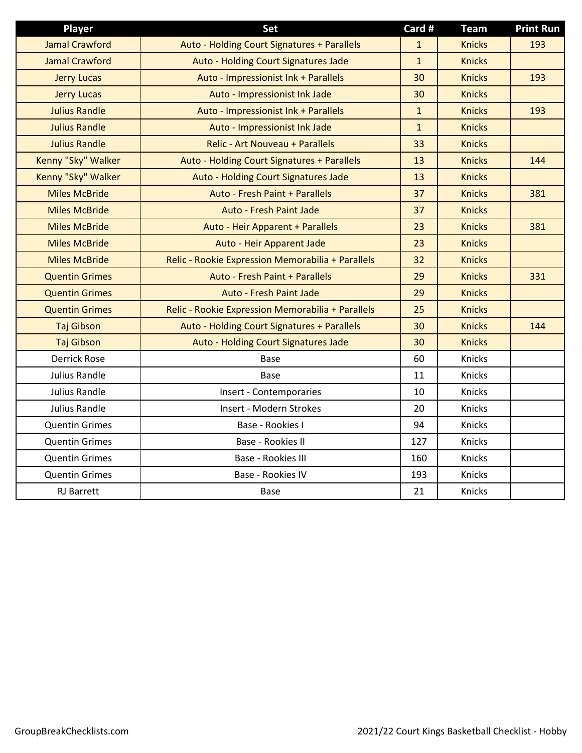| <b>Player</b>         | Set                                               | Card #       | <b>Team</b>   | <b>Print Run</b> |
|-----------------------|---------------------------------------------------|--------------|---------------|------------------|
| <b>Jamal Crawford</b> | Auto - Holding Court Signatures + Parallels       | $\mathbf{1}$ | <b>Knicks</b> | 193              |
| <b>Jamal Crawford</b> | Auto - Holding Court Signatures Jade              | $\mathbf{1}$ | <b>Knicks</b> |                  |
| <b>Jerry Lucas</b>    | Auto - Impressionist Ink + Parallels              | 30           | <b>Knicks</b> | 193              |
| <b>Jerry Lucas</b>    | Auto - Impressionist Ink Jade                     | 30           | <b>Knicks</b> |                  |
| <b>Julius Randle</b>  | Auto - Impressionist Ink + Parallels              | $\mathbf{1}$ | <b>Knicks</b> | 193              |
| <b>Julius Randle</b>  | Auto - Impressionist Ink Jade                     | $\mathbf{1}$ | <b>Knicks</b> |                  |
| <b>Julius Randle</b>  | <b>Relic - Art Nouveau + Parallels</b>            | 33           | <b>Knicks</b> |                  |
| Kenny "Sky" Walker    | Auto - Holding Court Signatures + Parallels       | 13           | <b>Knicks</b> | 144              |
| Kenny "Sky" Walker    | Auto - Holding Court Signatures Jade              | 13           | <b>Knicks</b> |                  |
| <b>Miles McBride</b>  | <b>Auto - Fresh Paint + Parallels</b>             | 37           | <b>Knicks</b> | 381              |
| <b>Miles McBride</b>  | Auto - Fresh Paint Jade                           | 37           | <b>Knicks</b> |                  |
| <b>Miles McBride</b>  | Auto - Heir Apparent + Parallels                  | 23           | <b>Knicks</b> | 381              |
| <b>Miles McBride</b>  | Auto - Heir Apparent Jade                         | 23           | <b>Knicks</b> |                  |
| <b>Miles McBride</b>  | Relic - Rookie Expression Memorabilia + Parallels | 32           | <b>Knicks</b> |                  |
| <b>Quentin Grimes</b> | <b>Auto - Fresh Paint + Parallels</b>             | 29           | <b>Knicks</b> | 331              |
| <b>Quentin Grimes</b> | Auto - Fresh Paint Jade                           | 29           | <b>Knicks</b> |                  |
| <b>Quentin Grimes</b> | Relic - Rookie Expression Memorabilia + Parallels | 25           | <b>Knicks</b> |                  |
| <b>Taj Gibson</b>     | Auto - Holding Court Signatures + Parallels       | 30           | <b>Knicks</b> | 144              |
| Taj Gibson            | Auto - Holding Court Signatures Jade              | 30           | <b>Knicks</b> |                  |
| <b>Derrick Rose</b>   | <b>Base</b>                                       | 60           | Knicks        |                  |
| <b>Julius Randle</b>  | <b>Base</b>                                       | 11           | Knicks        |                  |
| Julius Randle         | Insert - Contemporaries                           | 10           | Knicks        |                  |
| <b>Julius Randle</b>  | Insert - Modern Strokes                           | 20           | Knicks        |                  |
| <b>Quentin Grimes</b> | Base - Rookies I                                  | 94           | <b>Knicks</b> |                  |
| <b>Quentin Grimes</b> | Base - Rookies II                                 | 127          | Knicks        |                  |
| <b>Quentin Grimes</b> | Base - Rookies III                                | 160          | Knicks        |                  |
| <b>Quentin Grimes</b> | Base - Rookies IV                                 | 193          | Knicks        |                  |
| <b>RJ</b> Barrett     | <b>Base</b>                                       | 21           | Knicks        |                  |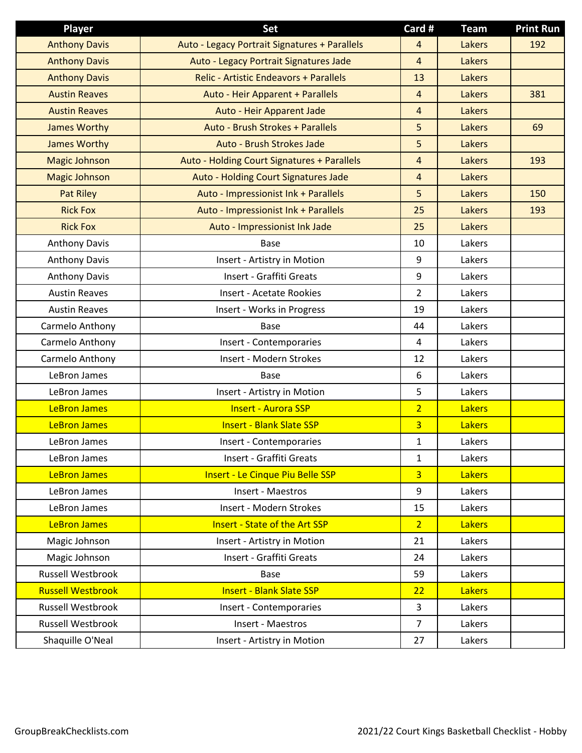| <b>Player</b>            | Set                                           | Card #         | <b>Team</b>   | <b>Print Run</b> |
|--------------------------|-----------------------------------------------|----------------|---------------|------------------|
| <b>Anthony Davis</b>     | Auto - Legacy Portrait Signatures + Parallels | 4              | Lakers        | 192              |
| <b>Anthony Davis</b>     | Auto - Legacy Portrait Signatures Jade        | $\overline{4}$ | <b>Lakers</b> |                  |
| <b>Anthony Davis</b>     | <b>Relic - Artistic Endeavors + Parallels</b> | 13             | Lakers        |                  |
| <b>Austin Reaves</b>     | Auto - Heir Apparent + Parallels              | 4              | Lakers        | 381              |
| <b>Austin Reaves</b>     | Auto - Heir Apparent Jade                     | $\overline{4}$ | Lakers        |                  |
| <b>James Worthy</b>      | Auto - Brush Strokes + Parallels              | 5              | <b>Lakers</b> | 69               |
| <b>James Worthy</b>      | Auto - Brush Strokes Jade                     | 5              | Lakers        |                  |
| <b>Magic Johnson</b>     | Auto - Holding Court Signatures + Parallels   | $\overline{4}$ | Lakers        | 193              |
| <b>Magic Johnson</b>     | Auto - Holding Court Signatures Jade          | 4              | <b>Lakers</b> |                  |
| <b>Pat Riley</b>         | Auto - Impressionist Ink + Parallels          | 5              | Lakers        | 150              |
| <b>Rick Fox</b>          | Auto - Impressionist Ink + Parallels          | 25             | Lakers        | 193              |
| <b>Rick Fox</b>          | Auto - Impressionist Ink Jade                 | 25             | Lakers        |                  |
| <b>Anthony Davis</b>     | Base                                          | 10             | Lakers        |                  |
| <b>Anthony Davis</b>     | Insert - Artistry in Motion                   | 9              | Lakers        |                  |
| <b>Anthony Davis</b>     | Insert - Graffiti Greats                      | 9              | Lakers        |                  |
| <b>Austin Reaves</b>     | <b>Insert - Acetate Rookies</b>               | $\overline{2}$ | Lakers        |                  |
| <b>Austin Reaves</b>     | Insert - Works in Progress                    | 19             | Lakers        |                  |
| Carmelo Anthony          | Base                                          | 44             | Lakers        |                  |
| Carmelo Anthony          | Insert - Contemporaries                       | 4              | Lakers        |                  |
| Carmelo Anthony          | Insert - Modern Strokes                       | 12             | Lakers        |                  |
| LeBron James             | Base                                          | 6              | Lakers        |                  |
| LeBron James             | Insert - Artistry in Motion                   | 5              | Lakers        |                  |
| <b>LeBron James</b>      | <b>Insert - Aurora SSP</b>                    | $\overline{2}$ | <b>Lakers</b> |                  |
| <b>LeBron James</b>      | <b>Insert - Blank Slate SSP</b>               | $\overline{3}$ | <b>Lakers</b> |                  |
| LeBron James             | Insert - Contemporaries                       | 1              | Lakers        |                  |
| LeBron James             | Insert - Graffiti Greats                      | $\mathbf{1}$   | Lakers        |                  |
| <b>LeBron James</b>      | <b>Insert - Le Cinque Piu Belle SSP</b>       | $\overline{3}$ | <b>Lakers</b> |                  |
| LeBron James             | Insert - Maestros                             | 9              | Lakers        |                  |
| LeBron James             | Insert - Modern Strokes                       | 15             | Lakers        |                  |
| <b>LeBron James</b>      | <b>Insert - State of the Art SSP</b>          | 2 <sup>1</sup> | <b>Lakers</b> |                  |
| Magic Johnson            | Insert - Artistry in Motion                   | 21             | Lakers        |                  |
| Magic Johnson            | Insert - Graffiti Greats                      | 24             | Lakers        |                  |
| Russell Westbrook        | Base                                          | 59             | Lakers        |                  |
| <b>Russell Westbrook</b> | <b>Insert - Blank Slate SSP</b>               | 22             | <b>Lakers</b> |                  |
| Russell Westbrook        | Insert - Contemporaries                       | 3              | Lakers        |                  |
| Russell Westbrook        | Insert - Maestros                             | $\overline{7}$ | Lakers        |                  |
| Shaquille O'Neal         | Insert - Artistry in Motion                   | 27             | Lakers        |                  |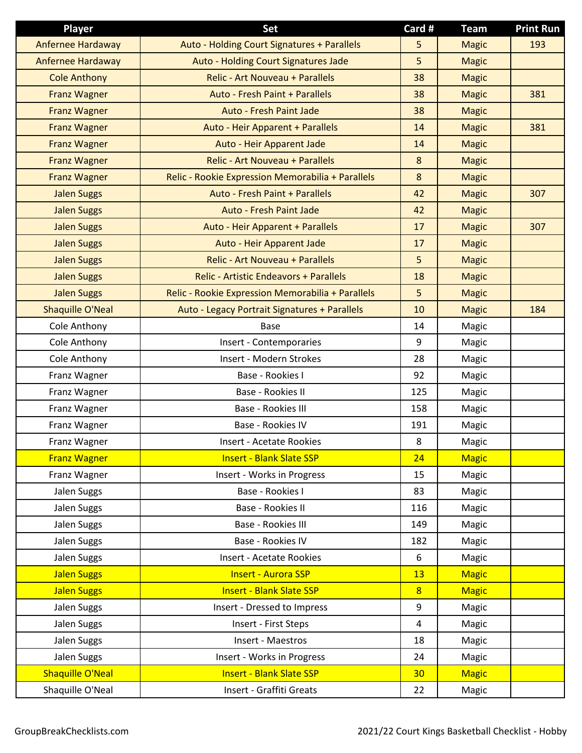| Player                   | Set                                               | Card #          | <b>Team</b>  | <b>Print Run</b> |
|--------------------------|---------------------------------------------------|-----------------|--------------|------------------|
| <b>Anfernee Hardaway</b> | Auto - Holding Court Signatures + Parallels       | 5               | <b>Magic</b> | 193              |
| Anfernee Hardaway        | Auto - Holding Court Signatures Jade              | 5               | <b>Magic</b> |                  |
| <b>Cole Anthony</b>      | Relic - Art Nouveau + Parallels                   | 38              | <b>Magic</b> |                  |
| <b>Franz Wagner</b>      | Auto - Fresh Paint + Parallels                    | 38              | <b>Magic</b> | 381              |
| <b>Franz Wagner</b>      | Auto - Fresh Paint Jade                           | 38              | <b>Magic</b> |                  |
| <b>Franz Wagner</b>      | Auto - Heir Apparent + Parallels                  | 14              | <b>Magic</b> | 381              |
| <b>Franz Wagner</b>      | Auto - Heir Apparent Jade                         | 14              | <b>Magic</b> |                  |
| <b>Franz Wagner</b>      | Relic - Art Nouveau + Parallels                   | 8               | <b>Magic</b> |                  |
| <b>Franz Wagner</b>      | Relic - Rookie Expression Memorabilia + Parallels | 8               | <b>Magic</b> |                  |
| <b>Jalen Suggs</b>       | Auto - Fresh Paint + Parallels                    | 42              | <b>Magic</b> | 307              |
| <b>Jalen Suggs</b>       | Auto - Fresh Paint Jade                           | 42              | <b>Magic</b> |                  |
| <b>Jalen Suggs</b>       | Auto - Heir Apparent + Parallels                  | 17              | <b>Magic</b> | 307              |
| <b>Jalen Suggs</b>       | Auto - Heir Apparent Jade                         | 17              | <b>Magic</b> |                  |
| <b>Jalen Suggs</b>       | Relic - Art Nouveau + Parallels                   | 5               | <b>Magic</b> |                  |
| <b>Jalen Suggs</b>       | <b>Relic - Artistic Endeavors + Parallels</b>     | 18              | <b>Magic</b> |                  |
| <b>Jalen Suggs</b>       | Relic - Rookie Expression Memorabilia + Parallels | 5               | <b>Magic</b> |                  |
| <b>Shaquille O'Neal</b>  | Auto - Legacy Portrait Signatures + Parallels     | 10              | <b>Magic</b> | 184              |
| Cole Anthony             | <b>Base</b>                                       | 14              | Magic        |                  |
| Cole Anthony             | Insert - Contemporaries                           | 9               | Magic        |                  |
| Cole Anthony             | Insert - Modern Strokes                           | 28              | Magic        |                  |
| Franz Wagner             | Base - Rookies I                                  | 92              | Magic        |                  |
| Franz Wagner             | Base - Rookies II                                 | 125             | Magic        |                  |
| Franz Wagner             | Base - Rookies III                                | 158             | Magic        |                  |
| Franz Wagner             | Base - Rookies IV                                 | 191             | Magic        |                  |
| Franz Wagner             | Insert - Acetate Rookies                          | 8               | Magic        |                  |
| <b>Franz Wagner</b>      | <b>Insert - Blank Slate SSP</b>                   | 24              | <b>Magic</b> |                  |
| Franz Wagner             | Insert - Works in Progress                        | 15              | Magic        |                  |
| Jalen Suggs              | Base - Rookies I                                  | 83              | Magic        |                  |
| Jalen Suggs              | Base - Rookies II                                 | 116             | Magic        |                  |
| Jalen Suggs              | Base - Rookies III                                | 149             | Magic        |                  |
| Jalen Suggs              | Base - Rookies IV                                 | 182             | Magic        |                  |
| Jalen Suggs              | <b>Insert - Acetate Rookies</b>                   | 6               | Magic        |                  |
| <b>Jalen Suggs</b>       | <b>Insert - Aurora SSP</b>                        | 13              | <b>Magic</b> |                  |
| <b>Jalen Suggs</b>       | <b>Insert - Blank Slate SSP</b>                   | 8               | <b>Magic</b> |                  |
| Jalen Suggs              | Insert - Dressed to Impress                       | 9               | Magic        |                  |
| Jalen Suggs              | Insert - First Steps                              | 4               | Magic        |                  |
| Jalen Suggs              | Insert - Maestros                                 | 18              | Magic        |                  |
| Jalen Suggs              | Insert - Works in Progress                        | 24              | Magic        |                  |
| <b>Shaquille O'Neal</b>  | <b>Insert - Blank Slate SSP</b>                   | 30 <sub>2</sub> | <b>Magic</b> |                  |
| Shaquille O'Neal         | Insert - Graffiti Greats                          | 22              | Magic        |                  |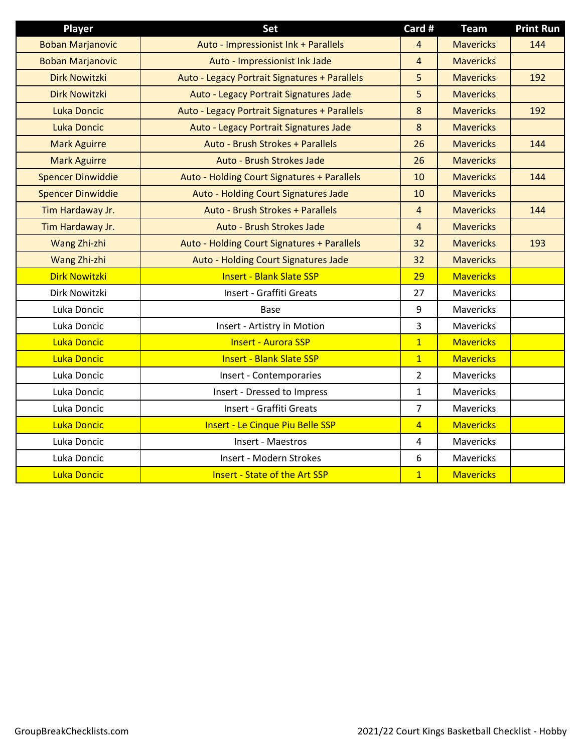| Player                   | Set                                           | Card #         | <b>Team</b>      | <b>Print Run</b> |
|--------------------------|-----------------------------------------------|----------------|------------------|------------------|
| <b>Boban Marjanovic</b>  | Auto - Impressionist Ink + Parallels          | 4              | <b>Mavericks</b> | 144              |
| <b>Boban Marjanovic</b>  | Auto - Impressionist Ink Jade                 | $\overline{4}$ | <b>Mavericks</b> |                  |
| <b>Dirk Nowitzki</b>     | Auto - Legacy Portrait Signatures + Parallels | 5              | <b>Mavericks</b> | 192              |
| <b>Dirk Nowitzki</b>     | Auto - Legacy Portrait Signatures Jade        | 5              | <b>Mavericks</b> |                  |
| <b>Luka Doncic</b>       | Auto - Legacy Portrait Signatures + Parallels | 8              | <b>Mavericks</b> | 192              |
| <b>Luka Doncic</b>       | Auto - Legacy Portrait Signatures Jade        | 8              | <b>Mavericks</b> |                  |
| <b>Mark Aguirre</b>      | Auto - Brush Strokes + Parallels              | 26             | <b>Mavericks</b> | 144              |
| <b>Mark Aguirre</b>      | Auto - Brush Strokes Jade                     | 26             | <b>Mavericks</b> |                  |
| <b>Spencer Dinwiddie</b> | Auto - Holding Court Signatures + Parallels   | 10             | <b>Mavericks</b> | 144              |
| <b>Spencer Dinwiddie</b> | Auto - Holding Court Signatures Jade          | 10             | <b>Mavericks</b> |                  |
| Tim Hardaway Jr.         | Auto - Brush Strokes + Parallels              | $\overline{4}$ | <b>Mavericks</b> | 144              |
| Tim Hardaway Jr.         | Auto - Brush Strokes Jade                     | $\overline{4}$ | <b>Mavericks</b> |                  |
| Wang Zhi-zhi             | Auto - Holding Court Signatures + Parallels   | 32             | <b>Mavericks</b> | 193              |
| Wang Zhi-zhi             | Auto - Holding Court Signatures Jade          | 32             | <b>Mavericks</b> |                  |
| <b>Dirk Nowitzki</b>     | <b>Insert - Blank Slate SSP</b>               | 29             | <b>Mavericks</b> |                  |
| Dirk Nowitzki            | Insert - Graffiti Greats                      | 27             | Mavericks        |                  |
| Luka Doncic              | Base                                          | 9              | Mavericks        |                  |
| Luka Doncic              | Insert - Artistry in Motion                   | 3              | <b>Mavericks</b> |                  |
| Luka Doncic              | <b>Insert - Aurora SSP</b>                    | $\overline{1}$ | <b>Mavericks</b> |                  |
| <b>Luka Doncic</b>       | <b>Insert - Blank Slate SSP</b>               | $\overline{1}$ | <b>Mavericks</b> |                  |
| Luka Doncic              | Insert - Contemporaries                       | $\overline{2}$ | <b>Mavericks</b> |                  |
| Luka Doncic              | Insert - Dressed to Impress                   | $\mathbf{1}$   | Mavericks        |                  |
| Luka Doncic              | Insert - Graffiti Greats                      | $\overline{7}$ | Mavericks        |                  |
| Luka Doncic              | <b>Insert - Le Cinque Piu Belle SSP</b>       | $\overline{4}$ | <b>Mavericks</b> |                  |
| Luka Doncic              | Insert - Maestros                             | 4              | Mavericks        |                  |
| Luka Doncic              | Insert - Modern Strokes                       | 6              | Mavericks        |                  |
| <b>Luka Doncic</b>       | <b>Insert - State of the Art SSP</b>          | $\mathbf{1}$   | <b>Mavericks</b> |                  |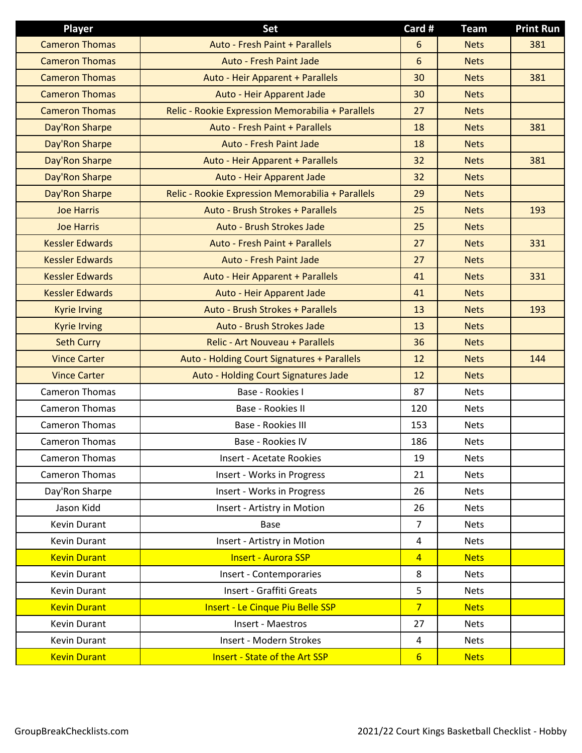| <b>Player</b>          | <b>Set</b>                                        | Card #          | <b>Team</b> | <b>Print Run</b> |
|------------------------|---------------------------------------------------|-----------------|-------------|------------------|
| <b>Cameron Thomas</b>  | Auto - Fresh Paint + Parallels                    | 6               | <b>Nets</b> | 381              |
| <b>Cameron Thomas</b>  | <b>Auto - Fresh Paint Jade</b>                    | 6               | <b>Nets</b> |                  |
| <b>Cameron Thomas</b>  | Auto - Heir Apparent + Parallels                  | 30              | <b>Nets</b> | 381              |
| <b>Cameron Thomas</b>  | Auto - Heir Apparent Jade                         | 30              | <b>Nets</b> |                  |
| <b>Cameron Thomas</b>  | Relic - Rookie Expression Memorabilia + Parallels | 27              | <b>Nets</b> |                  |
| Day'Ron Sharpe         | Auto - Fresh Paint + Parallels                    | 18              | <b>Nets</b> | 381              |
| Day'Ron Sharpe         | Auto - Fresh Paint Jade                           | 18              | <b>Nets</b> |                  |
| Day'Ron Sharpe         | Auto - Heir Apparent + Parallels                  | 32              | <b>Nets</b> | 381              |
| Day'Ron Sharpe         | Auto - Heir Apparent Jade                         | 32              | <b>Nets</b> |                  |
| Day'Ron Sharpe         | Relic - Rookie Expression Memorabilia + Parallels | 29              | <b>Nets</b> |                  |
| <b>Joe Harris</b>      | Auto - Brush Strokes + Parallels                  | 25              | <b>Nets</b> | 193              |
| <b>Joe Harris</b>      | Auto - Brush Strokes Jade                         | 25              | <b>Nets</b> |                  |
| <b>Kessler Edwards</b> | <b>Auto - Fresh Paint + Parallels</b>             | 27              | <b>Nets</b> | 331              |
| <b>Kessler Edwards</b> | Auto - Fresh Paint Jade                           | 27              | <b>Nets</b> |                  |
| <b>Kessler Edwards</b> | Auto - Heir Apparent + Parallels                  | 41              | <b>Nets</b> | 331              |
| <b>Kessler Edwards</b> | Auto - Heir Apparent Jade                         | 41              | <b>Nets</b> |                  |
| <b>Kyrie Irving</b>    | Auto - Brush Strokes + Parallels                  | 13              | <b>Nets</b> | 193              |
| <b>Kyrie Irving</b>    | Auto - Brush Strokes Jade                         | 13              | <b>Nets</b> |                  |
| <b>Seth Curry</b>      | <b>Relic - Art Nouveau + Parallels</b>            | 36              | <b>Nets</b> |                  |
| <b>Vince Carter</b>    | Auto - Holding Court Signatures + Parallels       | 12              | <b>Nets</b> | 144              |
| <b>Vince Carter</b>    | Auto - Holding Court Signatures Jade              | 12              | <b>Nets</b> |                  |
| <b>Cameron Thomas</b>  | Base - Rookies I                                  | 87              | <b>Nets</b> |                  |
| <b>Cameron Thomas</b>  | Base - Rookies II                                 | 120             | <b>Nets</b> |                  |
| <b>Cameron Thomas</b>  | Base - Rookies III                                | 153             | <b>Nets</b> |                  |
| <b>Cameron Thomas</b>  | Base - Rookies IV                                 | 186             | <b>Nets</b> |                  |
| Cameron Thomas         | <b>Insert - Acetate Rookies</b>                   | 19              | <b>Nets</b> |                  |
| Cameron Thomas         | Insert - Works in Progress                        | 21              | <b>Nets</b> |                  |
| Day'Ron Sharpe         | Insert - Works in Progress                        | 26              | <b>Nets</b> |                  |
| Jason Kidd             | Insert - Artistry in Motion                       | 26              | <b>Nets</b> |                  |
| Kevin Durant           | <b>Base</b>                                       | $\overline{7}$  | <b>Nets</b> |                  |
| Kevin Durant           | Insert - Artistry in Motion                       | $\overline{a}$  | <b>Nets</b> |                  |
| <b>Kevin Durant</b>    | <b>Insert - Aurora SSP</b>                        | $\overline{4}$  | <b>Nets</b> |                  |
| Kevin Durant           | Insert - Contemporaries                           | 8               | <b>Nets</b> |                  |
| Kevin Durant           | Insert - Graffiti Greats                          | 5               | <b>Nets</b> |                  |
| <b>Kevin Durant</b>    | <b>Insert - Le Cinque Piu Belle SSP</b>           | 7 <sup>1</sup>  | <b>Nets</b> |                  |
| Kevin Durant           | Insert - Maestros                                 | 27              | <b>Nets</b> |                  |
| Kevin Durant           | Insert - Modern Strokes                           | $\overline{4}$  | <b>Nets</b> |                  |
| <b>Kevin Durant</b>    | <b>Insert - State of the Art SSP</b>              | $6\overline{6}$ | <b>Nets</b> |                  |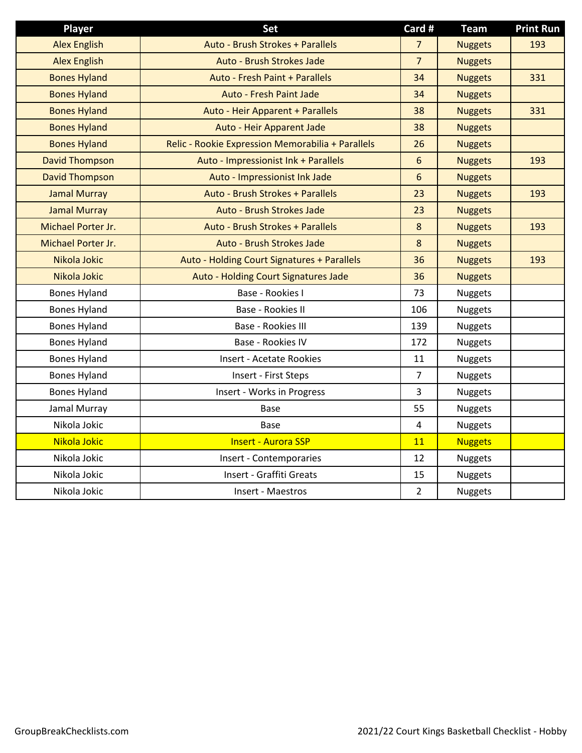| <b>Player</b>         | <b>Set</b>                                        | Card #         | <b>Team</b>    | <b>Print Run</b> |
|-----------------------|---------------------------------------------------|----------------|----------------|------------------|
| <b>Alex English</b>   | Auto - Brush Strokes + Parallels                  | $\overline{7}$ | <b>Nuggets</b> | 193              |
| <b>Alex English</b>   | Auto - Brush Strokes Jade                         | $\overline{7}$ | <b>Nuggets</b> |                  |
| <b>Bones Hyland</b>   | Auto - Fresh Paint + Parallels                    | 34             | <b>Nuggets</b> | 331              |
| <b>Bones Hyland</b>   | <b>Auto - Fresh Paint Jade</b>                    | 34             | <b>Nuggets</b> |                  |
| <b>Bones Hyland</b>   | Auto - Heir Apparent + Parallels                  | 38             | <b>Nuggets</b> | 331              |
| <b>Bones Hyland</b>   | Auto - Heir Apparent Jade                         | 38             | <b>Nuggets</b> |                  |
| <b>Bones Hyland</b>   | Relic - Rookie Expression Memorabilia + Parallels | 26             | <b>Nuggets</b> |                  |
| <b>David Thompson</b> | Auto - Impressionist Ink + Parallels              | 6              | <b>Nuggets</b> | 193              |
| <b>David Thompson</b> | Auto - Impressionist Ink Jade                     | 6              | <b>Nuggets</b> |                  |
| <b>Jamal Murray</b>   | Auto - Brush Strokes + Parallels                  | 23             | <b>Nuggets</b> | 193              |
| <b>Jamal Murray</b>   | Auto - Brush Strokes Jade                         | 23             | <b>Nuggets</b> |                  |
| Michael Porter Jr.    | Auto - Brush Strokes + Parallels                  | $8\phantom{1}$ | <b>Nuggets</b> | 193              |
| Michael Porter Jr.    | Auto - Brush Strokes Jade                         | 8              | <b>Nuggets</b> |                  |
| Nikola Jokic          | Auto - Holding Court Signatures + Parallels       | 36             | <b>Nuggets</b> | 193              |
| Nikola Jokic          | Auto - Holding Court Signatures Jade              | 36             | <b>Nuggets</b> |                  |
| <b>Bones Hyland</b>   | Base - Rookies I                                  | 73             | <b>Nuggets</b> |                  |
| <b>Bones Hyland</b>   | Base - Rookies II                                 | 106            | <b>Nuggets</b> |                  |
| <b>Bones Hyland</b>   | Base - Rookies III                                | 139            | <b>Nuggets</b> |                  |
| <b>Bones Hyland</b>   | Base - Rookies IV                                 | 172            | <b>Nuggets</b> |                  |
| <b>Bones Hyland</b>   | <b>Insert - Acetate Rookies</b>                   | 11             | <b>Nuggets</b> |                  |
| <b>Bones Hyland</b>   | Insert - First Steps                              | $\overline{7}$ | <b>Nuggets</b> |                  |
| <b>Bones Hyland</b>   | Insert - Works in Progress                        | 3              | <b>Nuggets</b> |                  |
| Jamal Murray          | <b>Base</b>                                       | 55             | Nuggets        |                  |
| Nikola Jokic          | Base                                              | $\overline{4}$ | <b>Nuggets</b> |                  |
| Nikola Jokic          | <b>Insert - Aurora SSP</b>                        | 11             | <b>Nuggets</b> |                  |
| Nikola Jokic          | Insert - Contemporaries                           | 12             | Nuggets        |                  |
| Nikola Jokic          | Insert - Graffiti Greats                          | 15             | Nuggets        |                  |
| Nikola Jokic          | Insert - Maestros                                 | $\overline{2}$ | Nuggets        |                  |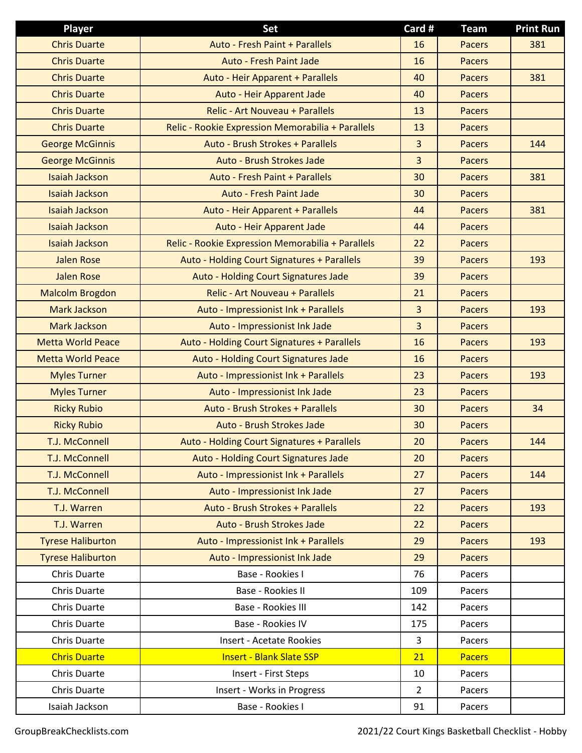| <b>Player</b>            | <b>Set</b>                                        | Card #         | <b>Team</b>   | <b>Print Run</b> |
|--------------------------|---------------------------------------------------|----------------|---------------|------------------|
| <b>Chris Duarte</b>      | <b>Auto - Fresh Paint + Parallels</b>             | 16             | <b>Pacers</b> | 381              |
| <b>Chris Duarte</b>      | <b>Auto - Fresh Paint Jade</b>                    | 16             | <b>Pacers</b> |                  |
| <b>Chris Duarte</b>      | Auto - Heir Apparent + Parallels                  | 40             | <b>Pacers</b> | 381              |
| <b>Chris Duarte</b>      | Auto - Heir Apparent Jade                         | 40             | <b>Pacers</b> |                  |
| <b>Chris Duarte</b>      | Relic - Art Nouveau + Parallels                   | 13             | <b>Pacers</b> |                  |
| <b>Chris Duarte</b>      | Relic - Rookie Expression Memorabilia + Parallels | 13             | <b>Pacers</b> |                  |
| <b>George McGinnis</b>   | Auto - Brush Strokes + Parallels                  | $\overline{3}$ | <b>Pacers</b> | 144              |
| <b>George McGinnis</b>   | Auto - Brush Strokes Jade                         | $\overline{3}$ | <b>Pacers</b> |                  |
| <b>Isaiah Jackson</b>    | Auto - Fresh Paint + Parallels                    | 30             | <b>Pacers</b> | 381              |
| <b>Isaiah Jackson</b>    | <b>Auto - Fresh Paint Jade</b>                    | 30             | <b>Pacers</b> |                  |
| <b>Isaiah Jackson</b>    | Auto - Heir Apparent + Parallels                  | 44             | <b>Pacers</b> | 381              |
| <b>Isaiah Jackson</b>    | Auto - Heir Apparent Jade                         | 44             | <b>Pacers</b> |                  |
| <b>Isaiah Jackson</b>    | Relic - Rookie Expression Memorabilia + Parallels | 22             | <b>Pacers</b> |                  |
| <b>Jalen Rose</b>        | Auto - Holding Court Signatures + Parallels       | 39             | <b>Pacers</b> | 193              |
| <b>Jalen Rose</b>        | Auto - Holding Court Signatures Jade              | 39             | <b>Pacers</b> |                  |
| <b>Malcolm Brogdon</b>   | Relic - Art Nouveau + Parallels                   | 21             | <b>Pacers</b> |                  |
| <b>Mark Jackson</b>      | Auto - Impressionist Ink + Parallels              | $\overline{3}$ | <b>Pacers</b> | 193              |
| <b>Mark Jackson</b>      | Auto - Impressionist Ink Jade                     | $\overline{3}$ | <b>Pacers</b> |                  |
| <b>Metta World Peace</b> | Auto - Holding Court Signatures + Parallels       | 16             | <b>Pacers</b> | 193              |
| <b>Metta World Peace</b> | Auto - Holding Court Signatures Jade              | 16             | <b>Pacers</b> |                  |
| <b>Myles Turner</b>      | Auto - Impressionist Ink + Parallels              | 23             | <b>Pacers</b> | 193              |
| <b>Myles Turner</b>      | Auto - Impressionist Ink Jade                     | 23             | <b>Pacers</b> |                  |
| <b>Ricky Rubio</b>       | Auto - Brush Strokes + Parallels                  | 30             | <b>Pacers</b> | 34               |
| <b>Ricky Rubio</b>       | Auto - Brush Strokes Jade                         | 30             | <b>Pacers</b> |                  |
| <b>T.J. McConnell</b>    | Auto - Holding Court Signatures + Parallels       | 20             | <b>Pacers</b> | 144              |
| <b>T.J. McConnell</b>    | Auto - Holding Court Signatures Jade              | 20             | <b>Pacers</b> |                  |
| <b>T.J. McConnell</b>    | Auto - Impressionist Ink + Parallels              | 27             | <b>Pacers</b> | 144              |
| <b>T.J. McConnell</b>    | Auto - Impressionist Ink Jade                     | 27             | <b>Pacers</b> |                  |
| T.J. Warren              | Auto - Brush Strokes + Parallels                  | 22             | <b>Pacers</b> | 193              |
| T.J. Warren              | Auto - Brush Strokes Jade                         | 22             | <b>Pacers</b> |                  |
| <b>Tyrese Haliburton</b> | Auto - Impressionist Ink + Parallels              | 29             | <b>Pacers</b> | 193              |
| <b>Tyrese Haliburton</b> | Auto - Impressionist Ink Jade                     | 29             | <b>Pacers</b> |                  |
| Chris Duarte             | Base - Rookies I                                  | 76             | Pacers        |                  |
| Chris Duarte             | Base - Rookies II                                 | 109            | Pacers        |                  |
| Chris Duarte             | Base - Rookies III                                | 142            | Pacers        |                  |
| Chris Duarte             | Base - Rookies IV                                 | 175            | Pacers        |                  |
| Chris Duarte             | <b>Insert - Acetate Rookies</b>                   | 3              | Pacers        |                  |
| <b>Chris Duarte</b>      | <b>Insert - Blank Slate SSP</b>                   | 21             | <b>Pacers</b> |                  |
| Chris Duarte             | Insert - First Steps                              | 10             | Pacers        |                  |
| Chris Duarte             | Insert - Works in Progress                        | $\overline{2}$ | Pacers        |                  |
| Isaiah Jackson           | Base - Rookies I                                  | 91             | Pacers        |                  |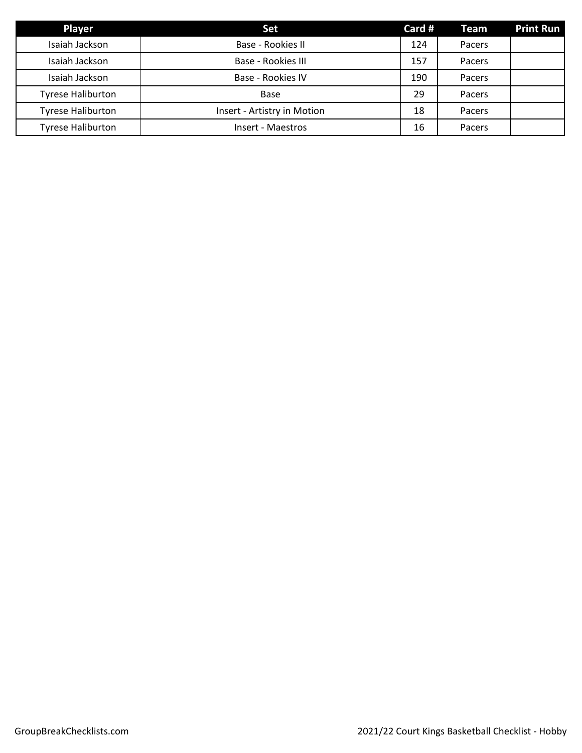| <b>Player</b>            | <b>Set</b>                  | Card # | <b>Team</b> | <b>Print Run</b> |
|--------------------------|-----------------------------|--------|-------------|------------------|
| Isaiah Jackson           | Base - Rookies II           | 124    | Pacers      |                  |
| Isaiah Jackson           | Base - Rookies III          | 157    | Pacers      |                  |
| Isaiah Jackson           | Base - Rookies IV           | 190    | Pacers      |                  |
| <b>Tyrese Haliburton</b> | Base                        | 29     | Pacers      |                  |
| <b>Tyrese Haliburton</b> | Insert - Artistry in Motion | 18     | Pacers      |                  |
| <b>Tyrese Haliburton</b> | Insert - Maestros           | 16     | Pacers      |                  |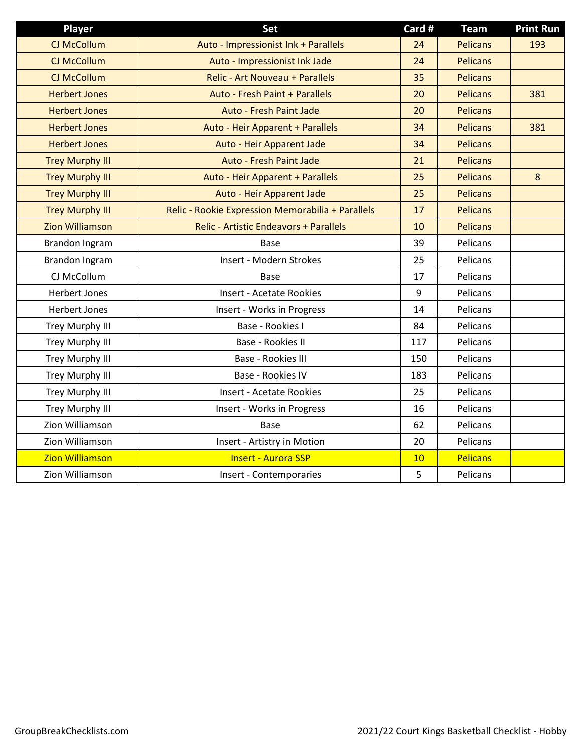| <b>Player</b>          | <b>Set</b>                                        | Card # | <b>Team</b>     | <b>Print Run</b> |
|------------------------|---------------------------------------------------|--------|-----------------|------------------|
| <b>CJ McCollum</b>     | Auto - Impressionist Ink + Parallels              | 24     | <b>Pelicans</b> | 193              |
| CJ McCollum            | Auto - Impressionist Ink Jade                     | 24     | <b>Pelicans</b> |                  |
| CJ McCollum            | <b>Relic - Art Nouveau + Parallels</b>            | 35     | <b>Pelicans</b> |                  |
| <b>Herbert Jones</b>   | Auto - Fresh Paint + Parallels                    | 20     | <b>Pelicans</b> | 381              |
| <b>Herbert Jones</b>   | <b>Auto - Fresh Paint Jade</b>                    | 20     | <b>Pelicans</b> |                  |
| <b>Herbert Jones</b>   | Auto - Heir Apparent + Parallels                  | 34     | <b>Pelicans</b> | 381              |
| <b>Herbert Jones</b>   | Auto - Heir Apparent Jade                         | 34     | <b>Pelicans</b> |                  |
| <b>Trey Murphy III</b> | Auto - Fresh Paint Jade                           | 21     | <b>Pelicans</b> |                  |
| <b>Trey Murphy III</b> | Auto - Heir Apparent + Parallels                  | 25     | <b>Pelicans</b> | 8                |
| <b>Trey Murphy III</b> | Auto - Heir Apparent Jade                         | 25     | <b>Pelicans</b> |                  |
| <b>Trey Murphy III</b> | Relic - Rookie Expression Memorabilia + Parallels | 17     | <b>Pelicans</b> |                  |
| <b>Zion Williamson</b> | <b>Relic - Artistic Endeavors + Parallels</b>     | 10     | <b>Pelicans</b> |                  |
| Brandon Ingram         | Base                                              | 39     | Pelicans        |                  |
| Brandon Ingram         | Insert - Modern Strokes                           | 25     | Pelicans        |                  |
| CJ McCollum            | Base                                              | 17     | Pelicans        |                  |
| <b>Herbert Jones</b>   | <b>Insert - Acetate Rookies</b>                   | 9      | Pelicans        |                  |
| <b>Herbert Jones</b>   | Insert - Works in Progress                        | 14     | Pelicans        |                  |
| <b>Trey Murphy III</b> | Base - Rookies I                                  | 84     | Pelicans        |                  |
| <b>Trey Murphy III</b> | Base - Rookies II                                 | 117    | Pelicans        |                  |
| <b>Trey Murphy III</b> | Base - Rookies III                                | 150    | Pelicans        |                  |
| <b>Trey Murphy III</b> | Base - Rookies IV                                 | 183    | Pelicans        |                  |
| Trey Murphy III        | <b>Insert - Acetate Rookies</b>                   | 25     | Pelicans        |                  |
| <b>Trey Murphy III</b> | Insert - Works in Progress                        | 16     | Pelicans        |                  |
| Zion Williamson        | <b>Base</b>                                       | 62     | Pelicans        |                  |
| Zion Williamson        | Insert - Artistry in Motion                       | 20     | Pelicans        |                  |
| <b>Zion Williamson</b> | <b>Insert - Aurora SSP</b>                        | 10     | <b>Pelicans</b> |                  |
| Zion Williamson        | Insert - Contemporaries                           | 5      | Pelicans        |                  |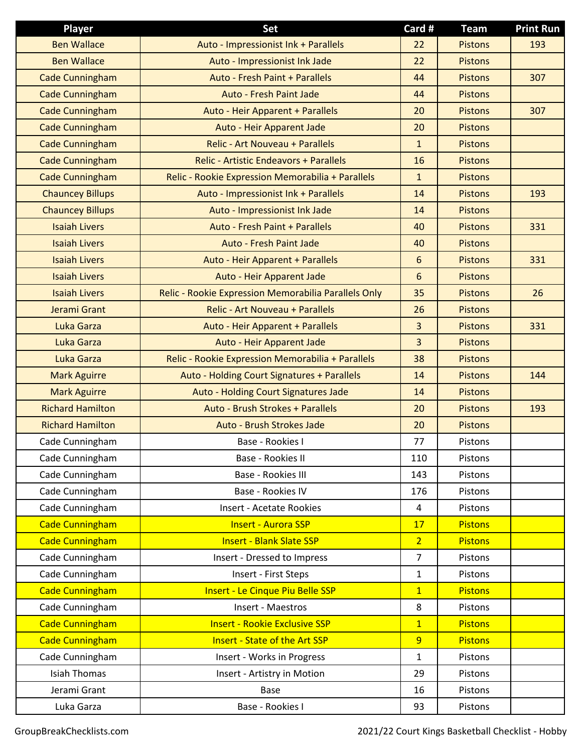| <b>Player</b>           | Set                                                  | Card #         | <b>Team</b>    | <b>Print Run</b> |
|-------------------------|------------------------------------------------------|----------------|----------------|------------------|
| <b>Ben Wallace</b>      | Auto - Impressionist Ink + Parallels                 | 22             | <b>Pistons</b> | 193              |
| <b>Ben Wallace</b>      | Auto - Impressionist Ink Jade                        | 22             | <b>Pistons</b> |                  |
| <b>Cade Cunningham</b>  | Auto - Fresh Paint + Parallels                       | 44             | <b>Pistons</b> | 307              |
| <b>Cade Cunningham</b>  | Auto - Fresh Paint Jade                              | 44             | <b>Pistons</b> |                  |
| <b>Cade Cunningham</b>  | Auto - Heir Apparent + Parallels                     | 20             | <b>Pistons</b> | 307              |
| <b>Cade Cunningham</b>  | Auto - Heir Apparent Jade                            | 20             | <b>Pistons</b> |                  |
| <b>Cade Cunningham</b>  | <b>Relic - Art Nouveau + Parallels</b>               | $\mathbf{1}$   | <b>Pistons</b> |                  |
| <b>Cade Cunningham</b>  | <b>Relic - Artistic Endeavors + Parallels</b>        | 16             | <b>Pistons</b> |                  |
| <b>Cade Cunningham</b>  | Relic - Rookie Expression Memorabilia + Parallels    | $\mathbf{1}$   | <b>Pistons</b> |                  |
| <b>Chauncey Billups</b> | Auto - Impressionist Ink + Parallels                 | 14             | <b>Pistons</b> | 193              |
| <b>Chauncey Billups</b> | Auto - Impressionist Ink Jade                        | 14             | <b>Pistons</b> |                  |
| <b>Isaiah Livers</b>    | Auto - Fresh Paint + Parallels                       | 40             | <b>Pistons</b> | 331              |
| <b>Isaiah Livers</b>    | Auto - Fresh Paint Jade                              | 40             | <b>Pistons</b> |                  |
| <b>Isaiah Livers</b>    | Auto - Heir Apparent + Parallels                     | 6              | <b>Pistons</b> | 331              |
| <b>Isaiah Livers</b>    | Auto - Heir Apparent Jade                            | 6              | <b>Pistons</b> |                  |
| <b>Isaiah Livers</b>    | Relic - Rookie Expression Memorabilia Parallels Only | 35             | <b>Pistons</b> | 26               |
| Jerami Grant            | <b>Relic - Art Nouveau + Parallels</b>               | 26             | <b>Pistons</b> |                  |
| Luka Garza              | Auto - Heir Apparent + Parallels                     | $\overline{3}$ | <b>Pistons</b> | 331              |
| Luka Garza              | Auto - Heir Apparent Jade                            | $\overline{3}$ | <b>Pistons</b> |                  |
| Luka Garza              | Relic - Rookie Expression Memorabilia + Parallels    | 38             | <b>Pistons</b> |                  |
| <b>Mark Aguirre</b>     | Auto - Holding Court Signatures + Parallels          | 14             | <b>Pistons</b> | 144              |
| <b>Mark Aguirre</b>     | Auto - Holding Court Signatures Jade                 | 14             | <b>Pistons</b> |                  |
| <b>Richard Hamilton</b> | Auto - Brush Strokes + Parallels                     | 20             | <b>Pistons</b> | 193              |
| <b>Richard Hamilton</b> | Auto - Brush Strokes Jade                            | 20             | <b>Pistons</b> |                  |
| Cade Cunningham         | Base - Rookies I                                     | 77             | Pistons        |                  |
| Cade Cunningham         | Base - Rookies II                                    | 110            | Pistons        |                  |
| Cade Cunningham         | Base - Rookies III                                   | 143            | Pistons        |                  |
| Cade Cunningham         | Base - Rookies IV                                    | 176            | Pistons        |                  |
| Cade Cunningham         | <b>Insert - Acetate Rookies</b>                      | 4              | Pistons        |                  |
| <b>Cade Cunningham</b>  | <b>Insert - Aurora SSP</b>                           | 17             | <b>Pistons</b> |                  |
| <b>Cade Cunningham</b>  | <b>Insert - Blank Slate SSP</b>                      | $\overline{2}$ | <b>Pistons</b> |                  |
| Cade Cunningham         | Insert - Dressed to Impress                          | $\overline{7}$ | Pistons        |                  |
| Cade Cunningham         | Insert - First Steps                                 | $\mathbf{1}$   | Pistons        |                  |
| <b>Cade Cunningham</b>  | <b>Insert - Le Cinque Piu Belle SSP</b>              | $\overline{1}$ | <b>Pistons</b> |                  |
| Cade Cunningham         | Insert - Maestros                                    | 8              | Pistons        |                  |
| <b>Cade Cunningham</b>  | <b>Insert - Rookie Exclusive SSP</b>                 | $\overline{1}$ | <b>Pistons</b> |                  |
| <b>Cade Cunningham</b>  | <b>Insert - State of the Art SSP</b>                 | $\overline{9}$ | <b>Pistons</b> |                  |
| Cade Cunningham         | Insert - Works in Progress                           | $\mathbf{1}$   | Pistons        |                  |
| <b>Isiah Thomas</b>     | Insert - Artistry in Motion                          | 29             | Pistons        |                  |
| Jerami Grant            | Base                                                 | 16             | Pistons        |                  |
| Luka Garza              | Base - Rookies I                                     | 93             | Pistons        |                  |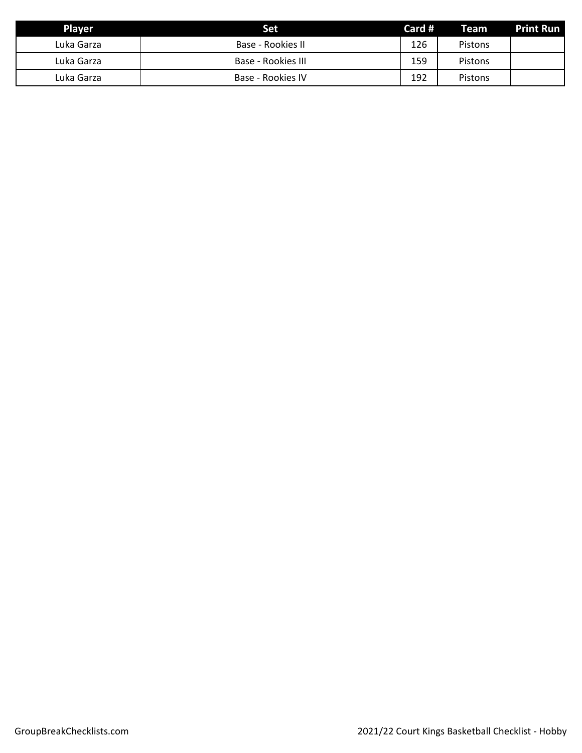| <b>Player</b> | Set                | Card # | <b>Team</b>    | <b>Print Run</b> |
|---------------|--------------------|--------|----------------|------------------|
| Luka Garza    | Base - Rookies II  | 126    | <b>Pistons</b> |                  |
| Luka Garza    | Base - Rookies III | 159    | <b>Pistons</b> |                  |
| Luka Garza    | Base - Rookies IV  | 192    | <b>Pistons</b> |                  |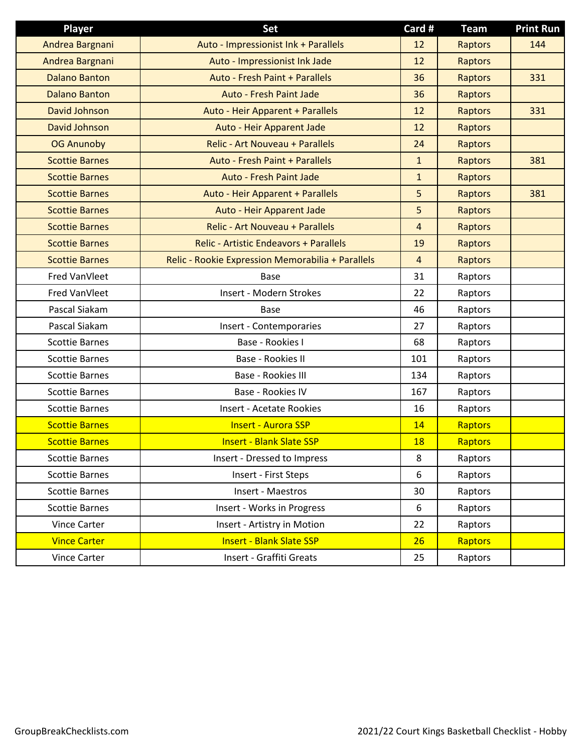| <b>Player</b>         | Set                                               | Card #         | <b>Team</b>    | <b>Print Run</b> |
|-----------------------|---------------------------------------------------|----------------|----------------|------------------|
| Andrea Bargnani       | Auto - Impressionist Ink + Parallels              | 12             | <b>Raptors</b> | 144              |
| Andrea Bargnani       | Auto - Impressionist Ink Jade                     | 12             | Raptors        |                  |
| <b>Dalano Banton</b>  | <b>Auto - Fresh Paint + Parallels</b>             | 36             | Raptors        | 331              |
| <b>Dalano Banton</b>  | <b>Auto - Fresh Paint Jade</b>                    | 36             | Raptors        |                  |
| David Johnson         | Auto - Heir Apparent + Parallels                  | 12             | Raptors        | 331              |
| <b>David Johnson</b>  | Auto - Heir Apparent Jade                         | 12             | Raptors        |                  |
| <b>OG Anunoby</b>     | <b>Relic - Art Nouveau + Parallels</b>            | 24             | <b>Raptors</b> |                  |
| <b>Scottie Barnes</b> | <b>Auto - Fresh Paint + Parallels</b>             | $\mathbf{1}$   | Raptors        | 381              |
| <b>Scottie Barnes</b> | <b>Auto - Fresh Paint Jade</b>                    | $\mathbf{1}$   | Raptors        |                  |
| <b>Scottie Barnes</b> | Auto - Heir Apparent + Parallels                  | 5              | Raptors        | 381              |
| <b>Scottie Barnes</b> | Auto - Heir Apparent Jade                         | 5              | Raptors        |                  |
| <b>Scottie Barnes</b> | Relic - Art Nouveau + Parallels                   | $\overline{4}$ | Raptors        |                  |
| <b>Scottie Barnes</b> | <b>Relic - Artistic Endeavors + Parallels</b>     | 19             | Raptors        |                  |
| <b>Scottie Barnes</b> | Relic - Rookie Expression Memorabilia + Parallels | 4              | Raptors        |                  |
| Fred VanVleet         | <b>Base</b>                                       | 31             | Raptors        |                  |
| Fred VanVleet         | Insert - Modern Strokes                           | 22             | Raptors        |                  |
| Pascal Siakam         | <b>Base</b>                                       | 46             | Raptors        |                  |
| Pascal Siakam         | Insert - Contemporaries                           | 27             | Raptors        |                  |
| <b>Scottie Barnes</b> | Base - Rookies I                                  | 68             | Raptors        |                  |
| <b>Scottie Barnes</b> | Base - Rookies II                                 | 101            | Raptors        |                  |
| <b>Scottie Barnes</b> | Base - Rookies III                                | 134            | Raptors        |                  |
| <b>Scottie Barnes</b> | Base - Rookies IV                                 | 167            | Raptors        |                  |
| <b>Scottie Barnes</b> | <b>Insert - Acetate Rookies</b>                   | 16             | Raptors        |                  |
| <b>Scottie Barnes</b> | <b>Insert - Aurora SSP</b>                        | 14             | Raptors        |                  |
| <b>Scottie Barnes</b> | <b>Insert - Blank Slate SSP</b>                   | <b>18</b>      | Raptors        |                  |
| <b>Scottie Barnes</b> | Insert - Dressed to Impress                       | 8              | Raptors        |                  |
| <b>Scottie Barnes</b> | Insert - First Steps                              | 6              | Raptors        |                  |
| <b>Scottie Barnes</b> | Insert - Maestros                                 | 30             | Raptors        |                  |
| <b>Scottie Barnes</b> | Insert - Works in Progress                        | 6              | Raptors        |                  |
| <b>Vince Carter</b>   | Insert - Artistry in Motion                       | 22             | Raptors        |                  |
| <b>Vince Carter</b>   | <b>Insert - Blank Slate SSP</b>                   | 26             | Raptors        |                  |
| Vince Carter          | Insert - Graffiti Greats                          | 25             | Raptors        |                  |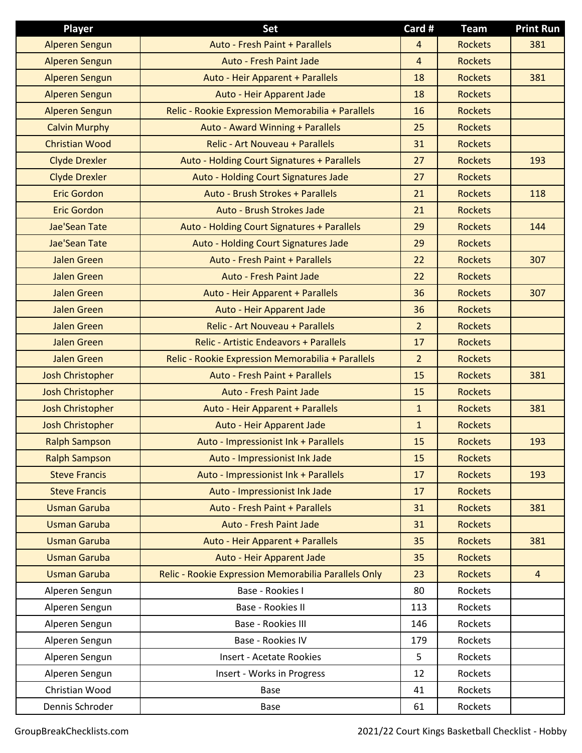| <b>Player</b>           | Set                                                  | Card #         | <b>Team</b>    | <b>Print Run</b> |
|-------------------------|------------------------------------------------------|----------------|----------------|------------------|
| <b>Alperen Sengun</b>   | Auto - Fresh Paint + Parallels                       | 4              | <b>Rockets</b> | 381              |
| <b>Alperen Sengun</b>   | <b>Auto - Fresh Paint Jade</b>                       | $\overline{4}$ | <b>Rockets</b> |                  |
| <b>Alperen Sengun</b>   | Auto - Heir Apparent + Parallels                     | 18             | <b>Rockets</b> | 381              |
| <b>Alperen Sengun</b>   | Auto - Heir Apparent Jade                            | 18             | <b>Rockets</b> |                  |
| <b>Alperen Sengun</b>   | Relic - Rookie Expression Memorabilia + Parallels    | 16             | <b>Rockets</b> |                  |
| <b>Calvin Murphy</b>    | Auto - Award Winning + Parallels                     | 25             | <b>Rockets</b> |                  |
| <b>Christian Wood</b>   | <b>Relic - Art Nouveau + Parallels</b>               | 31             | <b>Rockets</b> |                  |
| <b>Clyde Drexler</b>    | Auto - Holding Court Signatures + Parallels          | 27             | <b>Rockets</b> | 193              |
| <b>Clyde Drexler</b>    | Auto - Holding Court Signatures Jade                 | 27             | <b>Rockets</b> |                  |
| <b>Eric Gordon</b>      | Auto - Brush Strokes + Parallels                     | 21             | <b>Rockets</b> | 118              |
| <b>Eric Gordon</b>      | Auto - Brush Strokes Jade                            | 21             | <b>Rockets</b> |                  |
| Jae'Sean Tate           | Auto - Holding Court Signatures + Parallels          | 29             | <b>Rockets</b> | 144              |
| <b>Jae'Sean Tate</b>    | Auto - Holding Court Signatures Jade                 | 29             | <b>Rockets</b> |                  |
| <b>Jalen Green</b>      | Auto - Fresh Paint + Parallels                       | 22             | <b>Rockets</b> | 307              |
| <b>Jalen Green</b>      | Auto - Fresh Paint Jade                              | 22             | <b>Rockets</b> |                  |
| <b>Jalen Green</b>      | Auto - Heir Apparent + Parallels                     | 36             | <b>Rockets</b> | 307              |
| <b>Jalen Green</b>      | Auto - Heir Apparent Jade                            | 36             | <b>Rockets</b> |                  |
| <b>Jalen Green</b>      | Relic - Art Nouveau + Parallels                      | $\overline{2}$ | <b>Rockets</b> |                  |
| <b>Jalen Green</b>      | <b>Relic - Artistic Endeavors + Parallels</b>        | 17             | <b>Rockets</b> |                  |
| <b>Jalen Green</b>      | Relic - Rookie Expression Memorabilia + Parallels    | $\overline{a}$ | <b>Rockets</b> |                  |
| <b>Josh Christopher</b> | Auto - Fresh Paint + Parallels                       | 15             | <b>Rockets</b> | 381              |
| <b>Josh Christopher</b> | <b>Auto - Fresh Paint Jade</b>                       | 15             | <b>Rockets</b> |                  |
| <b>Josh Christopher</b> | Auto - Heir Apparent + Parallels                     | $\mathbf{1}$   | <b>Rockets</b> | 381              |
| <b>Josh Christopher</b> | Auto - Heir Apparent Jade                            | $\mathbf{1}$   | <b>Rockets</b> |                  |
| <b>Ralph Sampson</b>    | Auto - Impressionist Ink + Parallels                 | 15             | <b>Rockets</b> | 193              |
| <b>Ralph Sampson</b>    | Auto - Impressionist Ink Jade                        | 15             | <b>Rockets</b> |                  |
| <b>Steve Francis</b>    | Auto - Impressionist Ink + Parallels                 | 17             | <b>Rockets</b> | 193              |
| <b>Steve Francis</b>    | Auto - Impressionist Ink Jade                        | 17             | <b>Rockets</b> |                  |
| <b>Usman Garuba</b>     | Auto - Fresh Paint + Parallels                       | 31             | <b>Rockets</b> | 381              |
| <b>Usman Garuba</b>     | <b>Auto - Fresh Paint Jade</b>                       | 31             | <b>Rockets</b> |                  |
| <b>Usman Garuba</b>     | Auto - Heir Apparent + Parallels                     | 35             | <b>Rockets</b> | 381              |
| <b>Usman Garuba</b>     | Auto - Heir Apparent Jade                            | 35             | <b>Rockets</b> |                  |
| <b>Usman Garuba</b>     | Relic - Rookie Expression Memorabilia Parallels Only | 23             | <b>Rockets</b> | $\overline{4}$   |
| Alperen Sengun          | Base - Rookies I                                     | 80             | Rockets        |                  |
| Alperen Sengun          | Base - Rookies II                                    | 113            | Rockets        |                  |
| Alperen Sengun          | Base - Rookies III                                   | 146            | Rockets        |                  |
| Alperen Sengun          | Base - Rookies IV                                    | 179            | Rockets        |                  |
| Alperen Sengun          | <b>Insert - Acetate Rookies</b>                      | 5              | Rockets        |                  |
| Alperen Sengun          | Insert - Works in Progress                           | 12             | Rockets        |                  |
| Christian Wood          | Base                                                 | 41             | Rockets        |                  |
| Dennis Schroder         | Base                                                 | 61             | Rockets        |                  |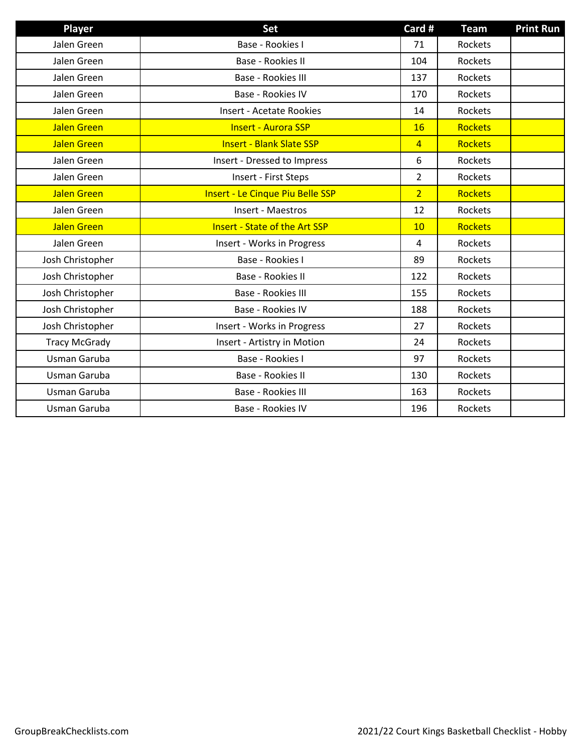| Player               | Set                                     | Card #         | <b>Team</b>    | <b>Print Run</b> |
|----------------------|-----------------------------------------|----------------|----------------|------------------|
| Jalen Green          | Base - Rookies I                        | 71             | Rockets        |                  |
| Jalen Green          | Base - Rookies II                       | 104            | Rockets        |                  |
| Jalen Green          | Base - Rookies III                      | 137            | Rockets        |                  |
| Jalen Green          | Base - Rookies IV                       | 170            | Rockets        |                  |
| Jalen Green          | <b>Insert - Acetate Rookies</b>         | 14             | Rockets        |                  |
| <b>Jalen Green</b>   | <b>Insert - Aurora SSP</b>              | 16             | <b>Rockets</b> |                  |
| <b>Jalen Green</b>   | <b>Insert - Blank Slate SSP</b>         | $\overline{4}$ | <b>Rockets</b> |                  |
| Jalen Green          | Insert - Dressed to Impress             | 6              | Rockets        |                  |
| Jalen Green          | Insert - First Steps                    | $\overline{2}$ | Rockets        |                  |
| <b>Jalen Green</b>   | <b>Insert - Le Cinque Piu Belle SSP</b> | $\overline{2}$ | <b>Rockets</b> |                  |
| Jalen Green          | Insert - Maestros                       | 12             | Rockets        |                  |
| <b>Jalen Green</b>   | <b>Insert - State of the Art SSP</b>    | 10             | <b>Rockets</b> |                  |
| Jalen Green          | Insert - Works in Progress              | $\overline{4}$ | Rockets        |                  |
| Josh Christopher     | Base - Rookies I                        | 89             | Rockets        |                  |
| Josh Christopher     | Base - Rookies II                       | 122            | Rockets        |                  |
| Josh Christopher     | Base - Rookies III                      | 155            | Rockets        |                  |
| Josh Christopher     | Base - Rookies IV                       | 188            | Rockets        |                  |
| Josh Christopher     | Insert - Works in Progress              | 27             | Rockets        |                  |
| <b>Tracy McGrady</b> | Insert - Artistry in Motion             | 24             | Rockets        |                  |
| Usman Garuba         | Base - Rookies I                        | 97             | Rockets        |                  |
| Usman Garuba         | Base - Rookies II                       | 130            | Rockets        |                  |
| Usman Garuba         | Base - Rookies III                      | 163            | Rockets        |                  |
| Usman Garuba         | Base - Rookies IV                       | 196            | Rockets        |                  |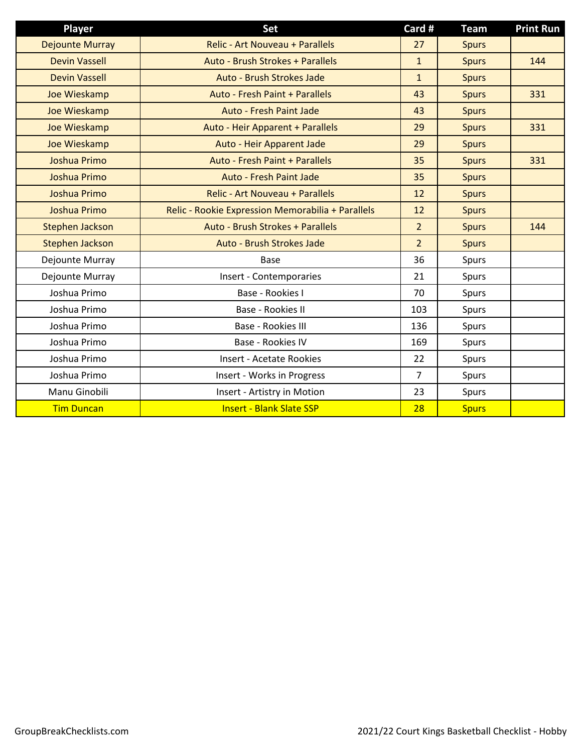| Player                 | Set                                               | Card #         | <b>Team</b>  | <b>Print Run</b> |
|------------------------|---------------------------------------------------|----------------|--------------|------------------|
| <b>Dejounte Murray</b> | Relic - Art Nouveau + Parallels                   | 27             | <b>Spurs</b> |                  |
| <b>Devin Vassell</b>   | Auto - Brush Strokes + Parallels                  | $\mathbf{1}$   | <b>Spurs</b> | 144              |
| <b>Devin Vassell</b>   | Auto - Brush Strokes Jade                         | $\mathbf{1}$   | <b>Spurs</b> |                  |
| Joe Wieskamp           | Auto - Fresh Paint + Parallels                    | 43             | <b>Spurs</b> | 331              |
| Joe Wieskamp           | <b>Auto - Fresh Paint Jade</b>                    | 43             | <b>Spurs</b> |                  |
| Joe Wieskamp           | Auto - Heir Apparent + Parallels                  | 29             | <b>Spurs</b> | 331              |
| Joe Wieskamp           | Auto - Heir Apparent Jade                         | 29             | <b>Spurs</b> |                  |
| Joshua Primo           | Auto - Fresh Paint + Parallels                    | 35             | <b>Spurs</b> | 331              |
| Joshua Primo           | <b>Auto - Fresh Paint Jade</b>                    | 35             | <b>Spurs</b> |                  |
| Joshua Primo           | <b>Relic - Art Nouveau + Parallels</b>            | 12             | <b>Spurs</b> |                  |
| Joshua Primo           | Relic - Rookie Expression Memorabilia + Parallels | 12             | <b>Spurs</b> |                  |
| <b>Stephen Jackson</b> | Auto - Brush Strokes + Parallels                  | $\overline{2}$ | <b>Spurs</b> | 144              |
| <b>Stephen Jackson</b> | Auto - Brush Strokes Jade                         | $\overline{2}$ | <b>Spurs</b> |                  |
| Dejounte Murray        | Base                                              | 36             | Spurs        |                  |
| Dejounte Murray        | Insert - Contemporaries                           | 21             | Spurs        |                  |
| Joshua Primo           | Base - Rookies I                                  | 70             | Spurs        |                  |
| Joshua Primo           | Base - Rookies II                                 | 103            | Spurs        |                  |
| Joshua Primo           | Base - Rookies III                                | 136            | Spurs        |                  |
| Joshua Primo           | Base - Rookies IV                                 | 169            | Spurs        |                  |
| Joshua Primo           | <b>Insert - Acetate Rookies</b>                   | 22             | Spurs        |                  |
| Joshua Primo           | Insert - Works in Progress                        | $\overline{7}$ | Spurs        |                  |
| Manu Ginobili          | Insert - Artistry in Motion                       | 23             | Spurs        |                  |
| <b>Tim Duncan</b>      | <b>Insert - Blank Slate SSP</b>                   | 28             | <b>Spurs</b> |                  |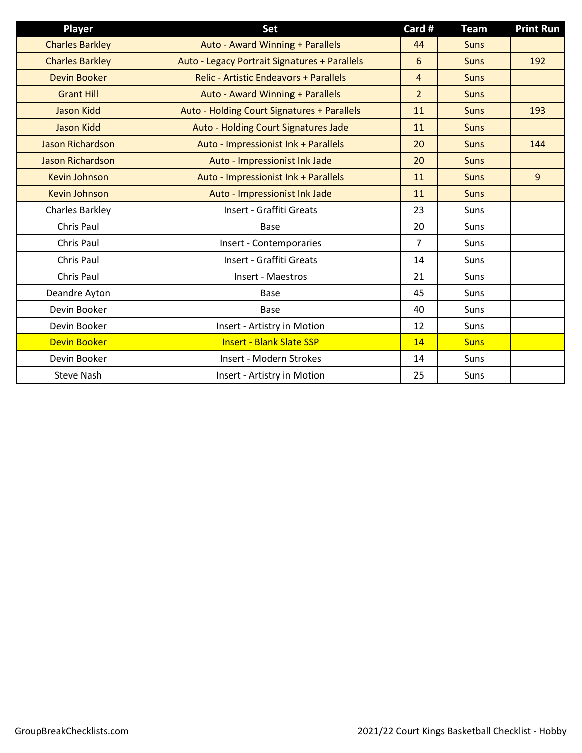| <b>Player</b>           | Set                                           | Card #         | <b>Team</b> | <b>Print Run</b> |
|-------------------------|-----------------------------------------------|----------------|-------------|------------------|
| <b>Charles Barkley</b>  | Auto - Award Winning + Parallels              | 44             | <b>Suns</b> |                  |
| <b>Charles Barkley</b>  | Auto - Legacy Portrait Signatures + Parallels | 6              | <b>Suns</b> | 192              |
| <b>Devin Booker</b>     | <b>Relic - Artistic Endeavors + Parallels</b> | $\overline{4}$ | <b>Suns</b> |                  |
| <b>Grant Hill</b>       | Auto - Award Winning + Parallels              | $\overline{2}$ | <b>Suns</b> |                  |
| <b>Jason Kidd</b>       | Auto - Holding Court Signatures + Parallels   | 11             | <b>Suns</b> | 193              |
| <b>Jason Kidd</b>       | Auto - Holding Court Signatures Jade          | 11             | <b>Suns</b> |                  |
| <b>Jason Richardson</b> | Auto - Impressionist Ink + Parallels          | 20             | <b>Suns</b> | 144              |
| Jason Richardson        | Auto - Impressionist Ink Jade                 | 20             | <b>Suns</b> |                  |
| <b>Kevin Johnson</b>    | Auto - Impressionist Ink + Parallels          | 11             | <b>Suns</b> | 9                |
| <b>Kevin Johnson</b>    | Auto - Impressionist Ink Jade                 | 11             | <b>Suns</b> |                  |
| Charles Barkley         | <b>Insert - Graffiti Greats</b>               | 23             | Suns        |                  |
| Chris Paul              | <b>Base</b>                                   | 20             | Suns        |                  |
| Chris Paul              | Insert - Contemporaries                       | $\overline{7}$ | Suns        |                  |
| Chris Paul              | Insert - Graffiti Greats                      | 14             | Suns        |                  |
| Chris Paul              | Insert - Maestros                             | 21             | Suns        |                  |
| Deandre Ayton           | Base                                          | 45             | Suns        |                  |
| Devin Booker            | Base                                          | 40             | Suns        |                  |
| Devin Booker            | Insert - Artistry in Motion                   | 12             | Suns        |                  |
| <b>Devin Booker</b>     | <b>Insert - Blank Slate SSP</b>               | 14             | <b>Suns</b> |                  |
| Devin Booker            | Insert - Modern Strokes                       | 14             | Suns        |                  |
| <b>Steve Nash</b>       | Insert - Artistry in Motion                   | 25             | Suns        |                  |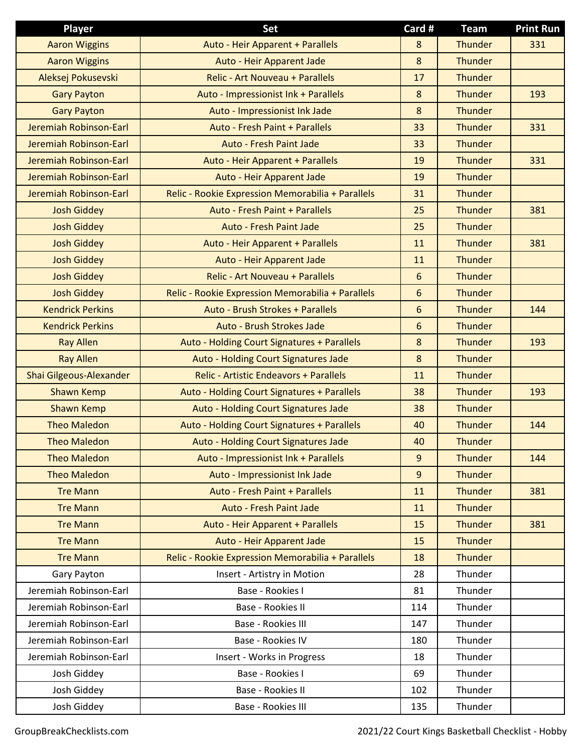| <b>Player</b>           | Set                                               | Card # | <b>Team</b>    | <b>Print Run</b> |
|-------------------------|---------------------------------------------------|--------|----------------|------------------|
| <b>Aaron Wiggins</b>    | Auto - Heir Apparent + Parallels                  | 8      | <b>Thunder</b> | 331              |
| <b>Aaron Wiggins</b>    | Auto - Heir Apparent Jade                         | 8      | Thunder        |                  |
| Aleksej Pokusevski      | <b>Relic - Art Nouveau + Parallels</b>            | 17     | <b>Thunder</b> |                  |
| <b>Gary Payton</b>      | Auto - Impressionist Ink + Parallels              | 8      | <b>Thunder</b> | 193              |
| <b>Gary Payton</b>      | Auto - Impressionist Ink Jade                     | 8      | <b>Thunder</b> |                  |
| Jeremiah Robinson-Earl  | Auto - Fresh Paint + Parallels                    | 33     | Thunder        | 331              |
| Jeremiah Robinson-Earl  | Auto - Fresh Paint Jade                           | 33     | <b>Thunder</b> |                  |
| Jeremiah Robinson-Earl  | Auto - Heir Apparent + Parallels                  | 19     | Thunder        | 331              |
| Jeremiah Robinson-Earl  | Auto - Heir Apparent Jade                         | 19     | Thunder        |                  |
| Jeremiah Robinson-Earl  | Relic - Rookie Expression Memorabilia + Parallels | 31     | Thunder        |                  |
| <b>Josh Giddey</b>      | Auto - Fresh Paint + Parallels                    | 25     | Thunder        | 381              |
| <b>Josh Giddey</b>      | Auto - Fresh Paint Jade                           | 25     | <b>Thunder</b> |                  |
| <b>Josh Giddey</b>      | Auto - Heir Apparent + Parallels                  | 11     | Thunder        | 381              |
| <b>Josh Giddey</b>      | Auto - Heir Apparent Jade                         | 11     | <b>Thunder</b> |                  |
| <b>Josh Giddey</b>      | <b>Relic - Art Nouveau + Parallels</b>            | 6      | <b>Thunder</b> |                  |
| <b>Josh Giddey</b>      | Relic - Rookie Expression Memorabilia + Parallels | 6      | <b>Thunder</b> |                  |
| <b>Kendrick Perkins</b> | Auto - Brush Strokes + Parallels                  | 6      | Thunder        | 144              |
| <b>Kendrick Perkins</b> | Auto - Brush Strokes Jade                         | 6      | <b>Thunder</b> |                  |
| <b>Ray Allen</b>        | Auto - Holding Court Signatures + Parallels       | 8      | Thunder        | 193              |
| <b>Ray Allen</b>        | Auto - Holding Court Signatures Jade              | 8      | Thunder        |                  |
| Shai Gilgeous-Alexander | <b>Relic - Artistic Endeavors + Parallels</b>     | 11     | Thunder        |                  |
| <b>Shawn Kemp</b>       | Auto - Holding Court Signatures + Parallels       | 38     | Thunder        | 193              |
| <b>Shawn Kemp</b>       | Auto - Holding Court Signatures Jade              | 38     | Thunder        |                  |
| <b>Theo Maledon</b>     | Auto - Holding Court Signatures + Parallels       | 40     | Thunder        | 144              |
| <b>Theo Maledon</b>     | Auto - Holding Court Signatures Jade              | 40     | <b>Thunder</b> |                  |
| <b>Theo Maledon</b>     | Auto - Impressionist Ink + Parallels              | 9      | Thunder        | 144              |
| <b>Theo Maledon</b>     | Auto - Impressionist Ink Jade                     | 9      | <b>Thunder</b> |                  |
| <b>Tre Mann</b>         | Auto - Fresh Paint + Parallels                    | 11     | <b>Thunder</b> | 381              |
| <b>Tre Mann</b>         | Auto - Fresh Paint Jade                           | 11     | <b>Thunder</b> |                  |
| <b>Tre Mann</b>         | Auto - Heir Apparent + Parallels                  | 15     | Thunder        | 381              |
| <b>Tre Mann</b>         | Auto - Heir Apparent Jade                         | 15     | <b>Thunder</b> |                  |
| <b>Tre Mann</b>         | Relic - Rookie Expression Memorabilia + Parallels | 18     | Thunder        |                  |
| Gary Payton             | Insert - Artistry in Motion                       | 28     | Thunder        |                  |
| Jeremiah Robinson-Earl  | Base - Rookies I                                  | 81     | Thunder        |                  |
| Jeremiah Robinson-Earl  | Base - Rookies II                                 | 114    | Thunder        |                  |
| Jeremiah Robinson-Earl  | Base - Rookies III                                | 147    | Thunder        |                  |
| Jeremiah Robinson-Earl  | Base - Rookies IV                                 | 180    | Thunder        |                  |
| Jeremiah Robinson-Earl  | Insert - Works in Progress                        | 18     | Thunder        |                  |
| Josh Giddey             | Base - Rookies I                                  | 69     | Thunder        |                  |
| Josh Giddey             | Base - Rookies II                                 | 102    | Thunder        |                  |
| Josh Giddey             | Base - Rookies III                                | 135    | Thunder        |                  |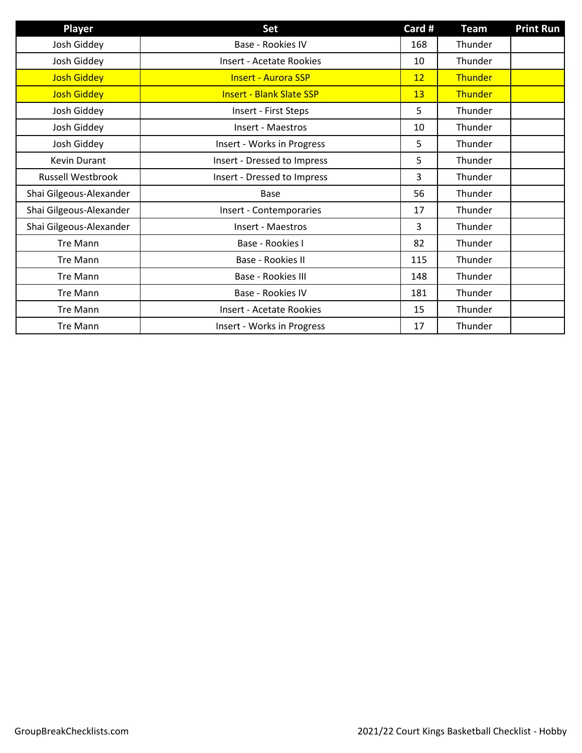| Player                   | Set                             | Card # | <b>Team</b> | <b>Print Run</b> |
|--------------------------|---------------------------------|--------|-------------|------------------|
| Josh Giddey              | <b>Base - Rookies IV</b>        | 168    | Thunder     |                  |
| Josh Giddey              | Insert - Acetate Rookies        | 10     | Thunder     |                  |
| <b>Josh Giddey</b>       | <b>Insert - Aurora SSP</b>      | 12     | Thunder     |                  |
| <b>Josh Giddey</b>       | <b>Insert - Blank Slate SSP</b> | 13     | Thunder     |                  |
| Josh Giddey              | Insert - First Steps            | 5      | Thunder     |                  |
| Josh Giddey              | Insert - Maestros               | 10     | Thunder     |                  |
| Josh Giddey              | Insert - Works in Progress      | 5      | Thunder     |                  |
| Kevin Durant             | Insert - Dressed to Impress     | 5      | Thunder     |                  |
| <b>Russell Westbrook</b> | Insert - Dressed to Impress     | 3      | Thunder     |                  |
| Shai Gilgeous-Alexander  | Base                            | 56     | Thunder     |                  |
| Shai Gilgeous-Alexander  | Insert - Contemporaries         | 17     | Thunder     |                  |
| Shai Gilgeous-Alexander  | Insert - Maestros               | 3      | Thunder     |                  |
| Tre Mann                 | Base - Rookies I                | 82     | Thunder     |                  |
| <b>Tre Mann</b>          | Base - Rookies II               | 115    | Thunder     |                  |
| <b>Tre Mann</b>          | Base - Rookies III              | 148    | Thunder     |                  |
| <b>Tre Mann</b>          | Base - Rookies IV               | 181    | Thunder     |                  |
| <b>Tre Mann</b>          | <b>Insert - Acetate Rookies</b> | 15     | Thunder     |                  |
| Tre Mann                 | Insert - Works in Progress      | 17     | Thunder     |                  |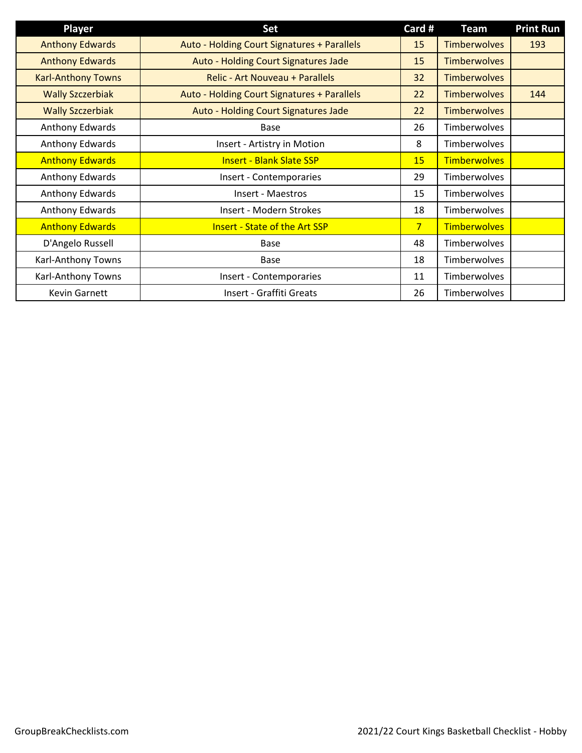| <b>Player</b>             | Set                                         | Card #         | <b>Team</b>         | <b>Print Run</b> |
|---------------------------|---------------------------------------------|----------------|---------------------|------------------|
| <b>Anthony Edwards</b>    | Auto - Holding Court Signatures + Parallels | 15             | <b>Timberwolves</b> | 193              |
| <b>Anthony Edwards</b>    | Auto - Holding Court Signatures Jade        | 15             | <b>Timberwolves</b> |                  |
| <b>Karl-Anthony Towns</b> | Relic - Art Nouveau + Parallels             | 32             | <b>Timberwolves</b> |                  |
| <b>Wally Szczerbiak</b>   | Auto - Holding Court Signatures + Parallels | 22             | <b>Timberwolves</b> | 144              |
| <b>Wally Szczerbiak</b>   | Auto - Holding Court Signatures Jade        | 22             | <b>Timberwolves</b> |                  |
| Anthony Edwards           | Base                                        | 26             | Timberwolves        |                  |
| Anthony Edwards           | Insert - Artistry in Motion                 | 8              | Timberwolves        |                  |
| <b>Anthony Edwards</b>    | <b>Insert - Blank Slate SSP</b>             | 15             | <b>Timberwolves</b> |                  |
| Anthony Edwards           | Insert - Contemporaries                     | 29             | Timberwolves        |                  |
| Anthony Edwards           | Insert - Maestros                           | 15             | Timberwolves        |                  |
| Anthony Edwards           | Insert - Modern Strokes                     | 18             | Timberwolves        |                  |
| <b>Anthony Edwards</b>    | <b>Insert - State of the Art SSP</b>        | 7 <sup>1</sup> | <b>Timberwolves</b> |                  |
| D'Angelo Russell          | Base                                        | 48             | Timberwolves        |                  |
| Karl-Anthony Towns        | Base                                        | 18             | <b>Timberwolves</b> |                  |
| Karl-Anthony Towns        | Insert - Contemporaries                     | 11             | Timberwolves        |                  |
| <b>Kevin Garnett</b>      | Insert - Graffiti Greats                    | 26             | Timberwolves        |                  |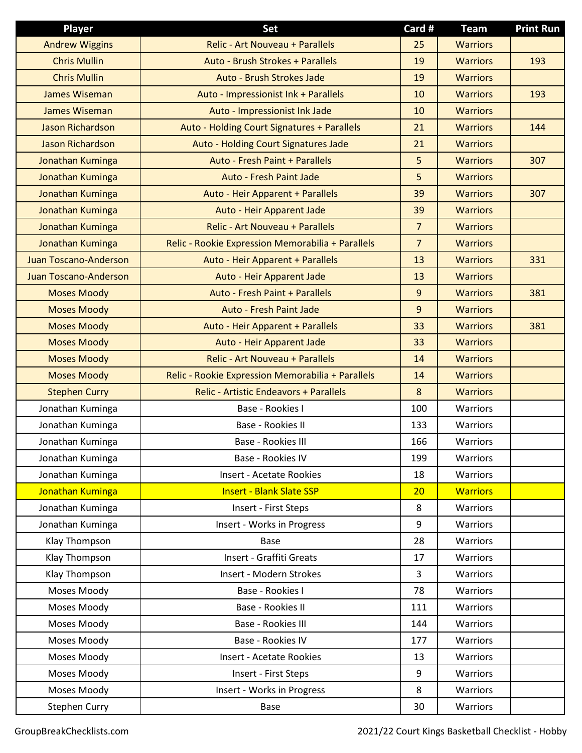| Player                       | Set                                               | Card #         | <b>Team</b>     | <b>Print Run</b> |
|------------------------------|---------------------------------------------------|----------------|-----------------|------------------|
| <b>Andrew Wiggins</b>        | Relic - Art Nouveau + Parallels                   | 25             | <b>Warriors</b> |                  |
| <b>Chris Mullin</b>          | Auto - Brush Strokes + Parallels                  | 19             | <b>Warriors</b> | 193              |
| <b>Chris Mullin</b>          | Auto - Brush Strokes Jade                         | 19             | <b>Warriors</b> |                  |
| <b>James Wiseman</b>         | Auto - Impressionist Ink + Parallels              | 10             | <b>Warriors</b> | 193              |
| <b>James Wiseman</b>         | Auto - Impressionist Ink Jade                     | 10             | <b>Warriors</b> |                  |
| <b>Jason Richardson</b>      | Auto - Holding Court Signatures + Parallels       | 21             | <b>Warriors</b> | 144              |
| <b>Jason Richardson</b>      | Auto - Holding Court Signatures Jade              | 21             | <b>Warriors</b> |                  |
| Jonathan Kuminga             | Auto - Fresh Paint + Parallels                    | 5              | <b>Warriors</b> | 307              |
| Jonathan Kuminga             | <b>Auto - Fresh Paint Jade</b>                    | 5              | <b>Warriors</b> |                  |
| Jonathan Kuminga             | Auto - Heir Apparent + Parallels                  | 39             | <b>Warriors</b> | 307              |
| Jonathan Kuminga             | Auto - Heir Apparent Jade                         | 39             | <b>Warriors</b> |                  |
| Jonathan Kuminga             | Relic - Art Nouveau + Parallels                   | $\overline{7}$ | <b>Warriors</b> |                  |
| Jonathan Kuminga             | Relic - Rookie Expression Memorabilia + Parallels | $\overline{7}$ | <b>Warriors</b> |                  |
| <b>Juan Toscano-Anderson</b> | Auto - Heir Apparent + Parallels                  | 13             | <b>Warriors</b> | 331              |
| <b>Juan Toscano-Anderson</b> | Auto - Heir Apparent Jade                         | 13             | <b>Warriors</b> |                  |
| <b>Moses Moody</b>           | Auto - Fresh Paint + Parallels                    | 9              | <b>Warriors</b> | 381              |
| <b>Moses Moody</b>           | Auto - Fresh Paint Jade                           | 9              | <b>Warriors</b> |                  |
| <b>Moses Moody</b>           | Auto - Heir Apparent + Parallels                  | 33             | <b>Warriors</b> | 381              |
| <b>Moses Moody</b>           | Auto - Heir Apparent Jade                         | 33             | <b>Warriors</b> |                  |
| <b>Moses Moody</b>           | <b>Relic - Art Nouveau + Parallels</b>            | 14             | <b>Warriors</b> |                  |
| <b>Moses Moody</b>           | Relic - Rookie Expression Memorabilia + Parallels | 14             | <b>Warriors</b> |                  |
| <b>Stephen Curry</b>         | <b>Relic - Artistic Endeavors + Parallels</b>     | 8              | <b>Warriors</b> |                  |
| Jonathan Kuminga             | Base - Rookies I                                  | 100            | Warriors        |                  |
| Jonathan Kuminga             | Base - Rookies II                                 | 133            | Warriors        |                  |
| Jonathan Kuminga             | Base - Rookies III                                | 166            | Warriors        |                  |
| Jonathan Kuminga             | Base - Rookies IV                                 | 199            | Warriors        |                  |
| Jonathan Kuminga             | <b>Insert - Acetate Rookies</b>                   | 18             | Warriors        |                  |
| Jonathan Kuminga             | <b>Insert - Blank Slate SSP</b>                   | 20             | <b>Warriors</b> |                  |
| Jonathan Kuminga             | Insert - First Steps                              | 8              | Warriors        |                  |
| Jonathan Kuminga             | Insert - Works in Progress                        | 9              | Warriors        |                  |
| Klay Thompson                | Base                                              | 28             | Warriors        |                  |
| Klay Thompson                | Insert - Graffiti Greats                          | 17             | Warriors        |                  |
| Klay Thompson                | Insert - Modern Strokes                           | 3              | Warriors        |                  |
| Moses Moody                  | Base - Rookies I                                  | 78             | Warriors        |                  |
| Moses Moody                  | Base - Rookies II                                 | 111            | Warriors        |                  |
| Moses Moody                  | Base - Rookies III                                | 144            | Warriors        |                  |
| Moses Moody                  | Base - Rookies IV                                 | 177            | Warriors        |                  |
| Moses Moody                  | <b>Insert - Acetate Rookies</b>                   | 13             | Warriors        |                  |
| Moses Moody                  | Insert - First Steps                              | 9              | Warriors        |                  |
| Moses Moody                  | Insert - Works in Progress                        | 8              | Warriors        |                  |
| Stephen Curry                | Base                                              | 30             | Warriors        |                  |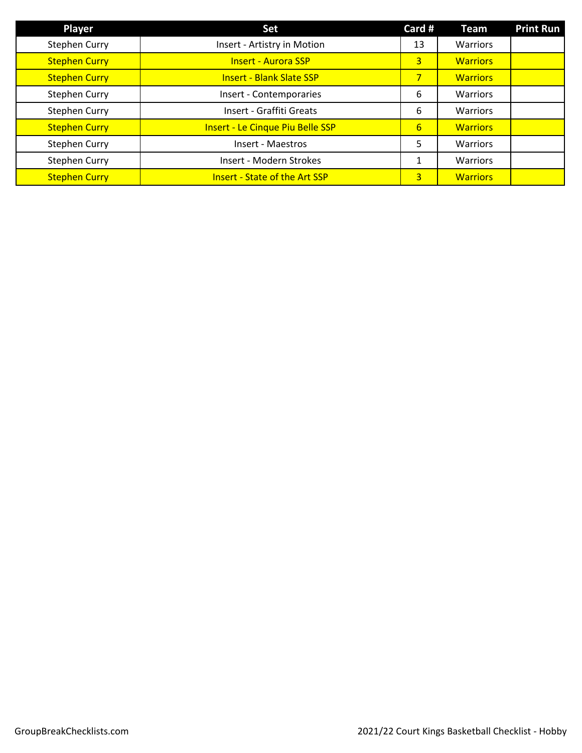| Player               | <b>Set</b>                              | Card #           | <b>Team</b>     | <b>Print Run</b> |
|----------------------|-----------------------------------------|------------------|-----------------|------------------|
| <b>Stephen Curry</b> | Insert - Artistry in Motion             | 13               | Warriors        |                  |
| <b>Stephen Curry</b> | <b>Insert - Aurora SSP</b>              | 3                | <b>Warriors</b> |                  |
| <b>Stephen Curry</b> | <b>Insert - Blank Slate SSP</b>         | 7 <sup>1</sup>   | <b>Warriors</b> |                  |
| <b>Stephen Curry</b> | Insert - Contemporaries                 | 6                | Warriors        |                  |
| <b>Stephen Curry</b> | Insert - Graffiti Greats                | 6                | <b>Warriors</b> |                  |
| <b>Stephen Curry</b> | <b>Insert - Le Cinque Piu Belle SSP</b> | $6 \overline{6}$ | <b>Warriors</b> |                  |
| <b>Stephen Curry</b> | Insert - Maestros                       | 5                | Warriors        |                  |
| <b>Stephen Curry</b> | Insert - Modern Strokes                 | 1                | Warriors        |                  |
| <b>Stephen Curry</b> | <b>Insert - State of the Art SSP</b>    | 3                | <b>Warriors</b> |                  |